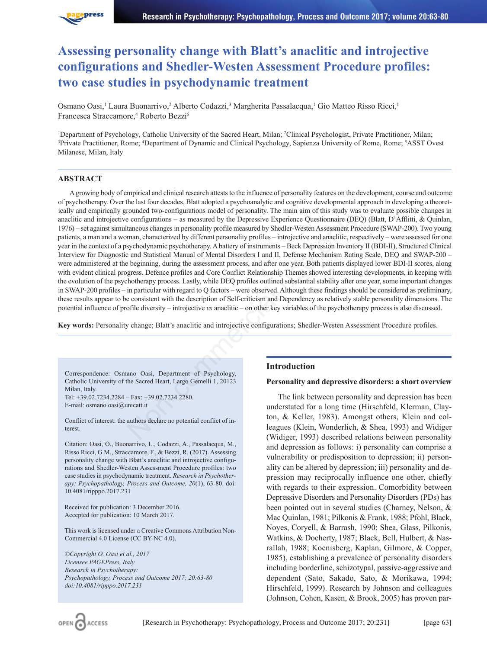

# **Assessing personality change with Blatt's anaclitic and introjective configurations and Shedler-Westen Assessment Procedure profiles: two case studies in psychodynamic treatment**

Osmano Oasi,<sup>1</sup> Laura Buonarrivo,<sup>2</sup> Alberto Codazzi,<sup>3</sup> Margherita Passalacqua,<sup>1</sup> Gio Matteo Risso Ricci,<sup>1</sup> Francesca Straccamore,<sup>4</sup> Roberto Bezzi<sup>5</sup>

<sup>1</sup>Department of Psychology, Catholic University of the Sacred Heart, Milan; <sup>2</sup>Clinical Psychologist, Private Practitioner, Milan; <sup>3</sup>Private Practitioner, Rome; <sup>4</sup>Department of Dynamic and Clinical Psychology, Sapienza University of Rome, Rome; <sup>5</sup>ASST Ovest Milanese, Milan, Italy

#### **ABSTRACT**

A growing body of empirical and clinical research attests to the influence of personality features on the development, course and outcome of psychotherapy. Over the last four decades, Blatt adopted a psychoanalytic and cognitive developmental approach in developing a theoretically and empirically grounded two-configurations model of personality. The main aim of this study was to evaluate possible changes in anaclitic and introjective configurations – as measured by the Depressive Experience Questionnaire (DEQ) (Blatt, D'Afflitti, & Quinlan, 1976) – set against simultaneous changes in personality profile measured by Shedler-Westen Assessment Procedure (SWAP-200). Two young patients, a man and a woman, characterized by different personality profiles – introjective and anaclitic, respectively – were assessed for one year in the context of a psychodynamic psychotherapy. A battery of instruments – Beck Depression Inventory II (BDI-II), Structured Clinical Interview for Diagnostic and Statistical Manual of Mental Disorders I and II, Defense Mechanism Rating Scale, DEQ and SWAP-200 – were administered at the beginning, during the assessment process, and after one year. Both patients displayed lower BDI-II scores, along with evident clinical progress. Defence profiles and Core Conflict Relationship Themes showed interesting developments, in keeping with the evolution of the psychotherapy process. Lastly, while DEQ profiles outlined substantial stability after one year, some important changes in SWAP-200 profiles – in particular with regard to Q factors – were observed. Although these findings should be considered as preliminary, these results appear to be consistent with the description of Self-criticism and Dependency as relatively stable personality dimensions. The potential influence of profile diversity – introjective *vs* anaclitic – on other key variables of the psychotherapy process is also discussed. Four the Source Comparations Indeed To personality. The main announced to the same than the same than the same than the same the configurations - as measured by the Depressive Experience Questionnaire (DEQ taneous changes

**Key words:** Personality change; Blatt's anaclitic and introjective configurations; Shedler-Westen Assessment Procedure profiles.

Correspondence: Osmano Oasi, Department of Psychology, Catholic University of the Sacred Heart, Largo Gemelli 1, 20123 Milan, Italy. Tel: +39.02.7234.2284 – Fax: +39.02.7234.2280. E-mail: osmano.oasi@unicatt.it

Conflict of interest: the authors declare no potential conflict of interest.

Citation: Oasi, O., Buonarrivo, L., Codazzi, A., Passalacqua, M., Risso Ricci, G.M., Straccamore, F., & Bezzi, R. (2017). Assessing personality change with Blatt's anaclitic and introjective configurations and Shedler-Westen Assessment Procedure profiles: two case studies in psychodynamic treatment. *Research in Psychotherapy: Psychopathology, Process and Outcome, 20*(1), 63-80. doi: 10.4081/ripppo.2017.231

Received for publication: 3 December 2016. Accepted for publication: 10 March 2017.

This work is licensed under a Creative Commons Attribution Non-Commercial 4.0 License (CC BY-NC 4.0).

*©Copyright O. Oasi et al., 2017 Licensee PAGEPress, Italy Research in Psychotherapy: Psychopathology, Process and Outcome 2017; 20:63-80 doi:10.4081/ripppo.2017.231*

# **Introduction**

#### **Personality and depressive disorders: a short overview**

The link between personality and depression has been understated for a long time (Hirschfeld, Klerman, Clayton, & Keller, 1983). Amongst others, Klein and colleagues (Klein, Wonderlich, & Shea, 1993) and Widiger (Widiger, 1993) described relations between personality and depression as follows: i) personality can comprise a vulnerability or predisposition to depression; ii) personality can be altered by depression; iii) personality and depression may reciprocally influence one other, chiefly with regards to their expression. Comorbidity between Depressive Disorders and Personality Disorders (PDs) has been pointed out in several studies (Charney, Nelson, & Mac Quinlan, 1981; Pilkonis & Frank, 1988; Pfohl, Black, Noyes, Coryell, & Barrash, 1990; Shea, Glass, Pilkonis, Watkins, & Docherty, 1987; Black, Bell, Hulbert, & Nasrallah, 1988; Koenisberg, Kaplan, Gilmore, & Copper, 1985), establishing a prevalence of personality disorders including borderline, schizotypal, passive-aggressive and dependent (Sato, Sakado, Sato, & Morikawa, 1994; Hirschfeld, 1999). Research by Johnson and colleagues (Johnson, Cohen, Kasen, & Brook, 2005) has proven par-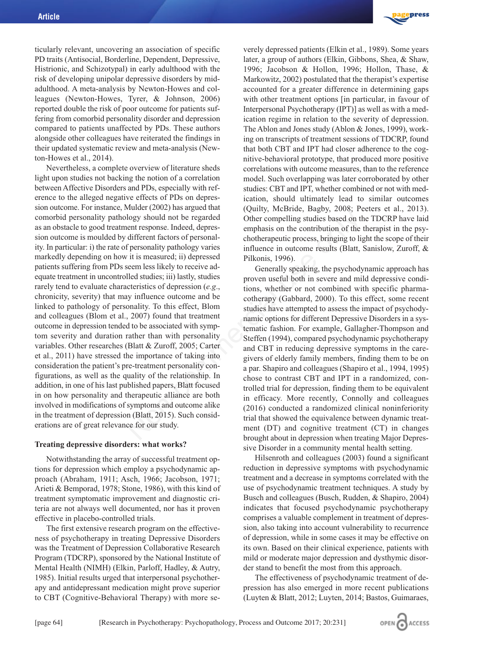ticularly relevant, uncovering an association of specific PD traits (Antisocial, Borderline, Dependent, Depressive, Histrionic, and Schizotypal) in early adulthood with the risk of developing unipolar depressive disorders by midadulthood. A meta-analysis by Newton-Howes and colleagues (Newton-Howes, Tyrer, & Johnson, 2006) reported double the risk of poor outcome for patients suffering from comorbid personality disorder and depression compared to patients unaffected by PDs. These authors alongside other colleagues have reiterated the findings in their updated systematic review and meta-analysis (Newton-Howes et al., 2014).

Nevertheless, a complete overview of literature sheds light upon studies not backing the notion of a correlation between Affective Disorders and PDs, especially with reference to the alleged negative effects of PDs on depression outcome. For instance, Mulder (2002) has argued that comorbid personality pathology should not be regarded as an obstacle to good treatment response. Indeed, depression outcome is moulded by different factors of personality. In particular: i) the rate of personality pathology varies markedly depending on how it is measured; ii) depressed patients suffering from PDs seem less likely to receive adequate treatment in uncontrolled studies; iii) lastly, studies rarely tend to evaluate characteristics of depression (*e.g*., chronicity, severity) that may influence outcome and be linked to pathology of personality. To this effect, Blom and colleagues (Blom et al., 2007) found that treatment outcome in depression tended to be associated with symptom severity and duration rather than with personality variables. Other researches (Blatt & Zuroff, 2005; Carter et al., 2011) have stressed the importance of taking into consideration the patient's pre-treatment personality configurations, as well as the quality of the relationship. In addition, in one of his last published papers, Blatt focused in on how personality and therapeutic alliance are both involved in modifications of symptoms and outcome alike in the treatment of depression (Blatt, 2015). Such considerations are of great relevance for our study.

#### **Treating depressive disorders: what works?**

Notwithstanding the array of successful treatment options for depression which employ a psychodynamic approach (Abraham, 1911; Asch, 1966; Jacobson, 1971; Arieti & Bemporad, 1978; Stone, 1986), with this kind of treatment symptomatic improvement and diagnostic criteria are not always well documented, nor has it proven effective in placebo-controlled trials.

The first extensive research program on the effectiveness of psychotherapy in treating Depressive Disorders was the Treatment of Depression Collaborative Research Program (TDCRP), sponsored by the National Institute of Mental Health (NIMH) (Elkin, Parloff, Hadley, & Autry, 1985). Initial results urged that interpersonal psychotherapy and antidepressant medication might prove superior to CBT (Cognitive-Behavioral Therapy) with more se-



verely depressed patients (Elkin et al., 1989). Some years later, a group of authors (Elkin, Gibbons, Shea, & Shaw, 1996; Jacobson & Hollon, 1996; Hollon, Thase, & Markowitz, 2002) postulated that the therapist's expertise accounted for a greater difference in determining gaps with other treatment options [in particular, in favour of Interpersonal Psychotherapy (IPT)] as well as with a medication regime in relation to the severity of depression. The Ablon and Jones study (Ablon & Jones, 1999), working on transcripts of treatment sessions of TDCRP, found that both CBT and IPT had closer adherence to the cognitive-behavioral prototype, that produced more positive correlations with outcome measures, than to the reference model. Such overlapping was later corroborated by other studies: CBT and IPT, whether combined or not with medication, should ultimately lead to similar outcomes (Quilty, McBride, Bagby, 2008; Peeters et al., 2013). Other compelling studies based on the TDCRP have laid emphasis on the contribution of the therapist in the psychotherapeutic process, bringing to light the scope of their influence in outcome results (Blatt, Sanislow, Zuroff, & Pilkonis, 1996).

Generally speaking, the psychodynamic approach has proven useful both in severe and mild depressive conditions, whether or not combined with specific pharmacotherapy (Gabbard, 2000). To this effect, some recent studies have attempted to assess the impact of psychodynamic options for different Depressive Disorders in a systematic fashion. For example, Gallagher-Thompson and Steffen (1994), compared psychodynamic psychotherapy and CBT in reducing depressive symptoms in the caregivers of elderly family members, finding them to be on a par. Shapiro and colleagues (Shapiro et al., 1994, 1995) chose to contrast CBT and IPT in a randomized, controlled trial for depression, finding them to be equivalent in efficacy. More recently, Connolly and colleagues (2016) conducted a randomized clinical noninferiority trial that showed the equivalence between dynamic treatment (DT) and cognitive treatment (CT) in changes brought about in depression when treating Major Depressive Disorder in a community mental health setting. Now the regarded<br>
Other compelling studies based on the transmoster. Lindend, depres-<br>
emphasis on the contribution of the different factors of personal-<br>
different factors of personal influence in outcome results (Blatt,

> Hilsenroth and colleagues (2003) found a significant reduction in depressive symptoms with psychodynamic treatment and a decrease in symptoms correlated with the use of psychodynamic treatment techniques. A study by Busch and colleagues (Busch, Rudden, & Shapiro, 2004) indicates that focused psychodynamic psychotherapy comprises a valuable complement in treatment of depression, also taking into account vulnerability to recurrence of depression, while in some cases it may be effective on its own. Based on their clinical experience, patients with mild or moderate major depression and dysthymic disorder stand to benefit the most from this approach.

> The effectiveness of psychodynamic treatment of depression has also emerged in more recent publications (Luyten & Blatt, 2012; Luyten, 2014; Bastos, Guimaraes,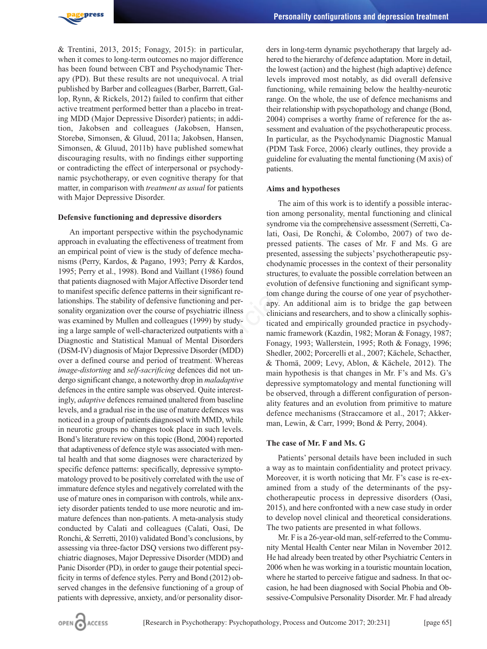

& Trentini, 2013, 2015; Fonagy, 2015): in particular, when it comes to long-term outcomes no major difference has been found between CBT and Psychodynamic Therapy (PD). But these results are not unequivocal. A trial published by Barber and colleagues (Barber, Barrett, Gallop, Rynn, & Rickels, 2012) failed to confirm that either active treatment performed better than a placebo in treating MDD (Major Depressive Disorder) patients; in addition, Jakobsen and colleagues (Jakobsen, Hansen, Storebø, Simonsen, & Gluud, 2011a; Jakobsen, Hansen, Simonsen, & Gluud, 2011b) have published somewhat discouraging results, with no findings either supporting or contradicting the effect of interpersonal or psychodynamic psychotherapy, or even cognitive therapy for that matter, in comparison with *treatment as usual* for patients with Major Depressive Disorder.

#### **Defensive functioning and depressive disorders**

An important perspective within the psychodynamic approach in evaluating the effectiveness of treatment from an empirical point of view is the study of defence mechanisms (Perry, Kardos, & Pagano, 1993; Perry & Kardos, 1995; Perry et al., 1998). Bond and Vaillant (1986) found that patients diagnosed with Major Affective Disorder tend to manifest specific defence patterns in their significant relationships. The stability of defensive functioning and personality organization over the course of psychiatric illness was examined by Mullen and colleagues (1999) by studying a large sample of well-characterized outpatients with a Diagnostic and Statistical Manual of Mental Disorders (DSM-IV) diagnosis of Major Depressive Disorder (MDD) over a defined course and period of treatment. Whereas *image-distorting* and *self-sacrificing* defences did not undergo significant change, a noteworthy drop in *maladaptive* defences in the entire sample was observed. Quite interestingly, *adaptive* defences remained unaltered from baseline levels, and a gradual rise in the use of mature defences was noticed in a group of patients diagnosed with MMD, while in neurotic groups no changes took place in such levels. Bond's literature review on this topic (Bond, 2004) reported that adaptiveness of defence style was associated with mental health and that some diagnoses were characterized by specific defence patterns: specifically, depressive symptomatology proved to be positively correlated with the use of immature defence styles and negatively correlated with the use of mature ones in comparison with controls, while anxiety disorder patients tended to use more neurotic and immature defences than non-patients. A meta-analysis study conducted by Calati and colleagues (Calati, Oasi, De Ronchi, & Serretti, 2010) validated Bond's conclusions, by assessing via three-factor DSQ versions two different psychiatric diagnoses, Major Depressive Disorder (MDD) and Panic Disorder (PD), in order to gauge their potential specificity in terms of defence styles. Perry and Bond (2012) observed changes in the defensive functioning of a group of patients with depressive, anxiety, and/or personality disor**ng and depressive disorders**<br>
spective within the psychodynamic surface side comprehensing spective within the psychodynamic lati, Oasi, De Ronchi, & Core<br>
yet effectiveness of treatment from the species of the study of

ders in long-term dynamic psychotherapy that largely adhered to the hierarchy of defence adaptation. More in detail, the lowest (action) and the highest (high adaptive) defence levels improved most notably, as did overall defensive functioning, while remaining below the healthy-neurotic range. On the whole, the use of defence mechanisms and their relationship with psychopathology and change (Bond, 2004) comprises a worthy frame of reference for the assessment and evaluation of the psychotherapeutic process. In particular, as the Psychodynamic Diagnostic Manual (PDM Task Force, 2006) clearly outlines, they provide a guideline for evaluating the mental functioning (M axis) of patients.

#### **Aims and hypotheses**

The aim of this work is to identify a possible interaction among personality, mental functioning and clinical syndrome via the comprehensive assessment (Serretti, Calati, Oasi, De Ronchi, & Colombo, 2007) of two depressed patients. The cases of Mr. F and Ms. G are presented, assessing the subjects' psychotherapeutic psychodynamic processes in the context of their personality structures, to evaluate the possible correlation between an evolution of defensive functioning and significant symptom change during the course of one year of psychotherapy. An additional aim is to bridge the gap between clinicians and researchers, and to show a clinically sophisticated and empirically grounded practice in psychodynamic framework (Kazdin, 1982; Moran & Fonagy, 1987; Fonagy, 1993; Wallerstein, 1995; Roth & Fonagy, 1996; Shedler, 2002; Porcerelli et al., 2007; Kächele, Schacther, & Thomä, 2009; Levy, Ablon, & Kächele, 2012). The main hypothesis is that changes in Mr. F's and Ms. G's depressive symptomatology and mental functioning will be observed, through a different configuration of personality features and an evolution from primitive to mature defence mechanisms (Straccamore et al., 2017; Akkerman, Lewin, & Carr, 1999; Bond & Perry, 2004).

# **The case of Mr. F and Ms. G**

Patients' personal details have been included in such a way as to maintain confidentiality and protect privacy. Moreover, it is worth noticing that Mr. F's case is re-examined from a study of the determinants of the psychotherapeutic process in depressive disorders (Oasi, 2015), and here confronted with a new case study in order to develop novel clinical and theoretical considerations. The two patients are presented in what follows.

Mr. F is a 26-year-old man, self-referred to the Community Mental Health Center near Milan in November 2012. He had already been treated by other Psychiatric Centers in 2006 when he was working in a touristic mountain location, where he started to perceive fatigue and sadness. In that occasion, he had been diagnosed with Social Phobia and Obsessive-Compulsive Personality Disorder. Mr. F had already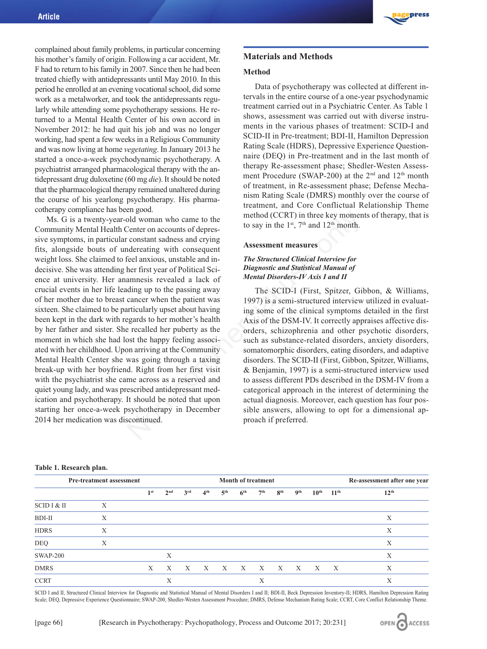complained about family problems, in particular concerning his mother's family of origin. Following a car accident, Mr. F had to return to his family in 2007. Since then he had been treated chiefly with antidepressants until May 2010. In this period he enrolled at an evening vocational school, did some work as a metalworker, and took the antidepressants regularly while attending some psychotherapy sessions. He returned to a Mental Health Center of his own accord in November 2012: he had quit his job and was no longer working, had spent a few weeks in a Religious Community and was now living at home *vegetating*. In January 2013 he started a once-a-week psychodynamic psychotherapy. A psychiatrist arranged pharmacological therapy with the antidepressant drug duloxetine (60 mg *die*). It should be noted that the pharmacological therapy remained unaltered during the course of his yearlong psychotherapy. His pharmacotherapy compliance has been good.

Ms. G is a twenty-year-old woman who came to the Community Mental Health Center on accounts of depressive symptoms, in particular constant sadness and crying fits, alongside bouts of undereating with consequent weight loss. She claimed to feel anxious, unstable and indecisive. She was attending her first year of Political Science at university. Her anamnesis revealed a lack of crucial events in her life leading up to the passing away of her mother due to breast cancer when the patient was sixteen. She claimed to be particularly upset about having been kept in the dark with regards to her mother's health by her father and sister. She recalled her puberty as the moment in which she had lost the happy feeling associated with her childhood. Upon arriving at the Community Mental Health Center she was going through a taxing break-up with her boyfriend. Right from her first visit with the psychiatrist she came across as a reserved and quiet young lady, and was prescribed antidepressant medication and psychotherapy. It should be noted that upon starting her once-a-week psychotherapy in December 2014 her medication was discontinued. Let use the solution of the method (CCRT) in three key momen<br>
Center on accounts of depres-<br>
to say in the  $1^{st}$ ,  $7^{th}$  and  $12^{th}$  month.<br>
Center on accounts of depres-<br>
constant sadness and crying<br>
Assessment measures



### **Materials and Methods**

#### **Method**

Data of psychotherapy was collected at different intervals in the entire course of a one-year psychodynamic treatment carried out in a Psychiatric Center. As Table 1 shows, assessment was carried out with diverse instruments in the various phases of treatment: SCID-I and SCID-II in Pre-treatment; BDI-II, Hamilton Depression Rating Scale (HDRS), Depressive Experience Questionnaire (DEQ) in Pre-treatment and in the last month of therapy Re-assessment phase; Shedler-Westen Assessment Procedure (SWAP-200) at the 2<sup>nd</sup> and 12<sup>th</sup> month of treatment, in Re-assessment phase; Defense Mechanism Rating Scale (DMRS) monthly over the course of treatment, and Core Conflictual Relationship Theme method (CCRT) in three key moments of therapy, that is to say in the  $1<sup>st</sup>$ , 7<sup>th</sup> and  $12<sup>th</sup>$  month.

#### **Assessment measures**

#### *The Structured Clinical Interview for Diagnostic and Statistical Manual of Mental Disorders-IV Axis I and II*

The SCID-I (First, Spitzer, Gibbon, & Williams, 1997) is a semi-structured interview utilized in evaluating some of the clinical symptoms detailed in the first Axis of the DSM-IV. It correctly appraises affective disorders, schizophrenia and other psychotic disorders, such as substance-related disorders, anxiety disorders, somatomorphic disorders, eating disorders, and adaptive disorders. The SCID-II (First, Gibbon, Spitzer, Williams, & Benjamin, 1997) is a semi-structured interview used to assess different PDs described in the DSM-IV from a categorical approach in the interest of determining the actual diagnosis. Moreover, each question has four possible answers, allowing to opt for a dimensional approach if preferred.

OPEN ACCESS

# **Pre-treatment assessment and Community Community Community Community Re-assessment after one year**  $1^{st}$   $2^{nd}$   $3^{rd}$   $4^{th}$   $5^{th}$   $6^{th}$   $7^{th}$   $8^{th}$   $9^{th}$   $10^{th}$   $11^{th}$   $11^{th}$ SCID I & II X BDI-II X X HDRS  $X$  and  $X$ DEQ X X SWAP-200  $X$  X DMRS X X X X X X X X X X X X  $CCFT$  x x x x x

#### **Table 1. Research plan.**

SCID I and II, Structured Clinical Interview for Diagnostic and Statistical Manual of Mental Disorders I and II; BDI-II, Beck Depression Inventory-II; HDRS, Hamilton Depression Rating Scale; DEQ, Depressive Experience Questionnaire; SWAP-200, Shedler-Westen Assessment Procedure; DMRS, Defense Mechanism Rating Scale; CCRT, Core Conflict Relationship Theme.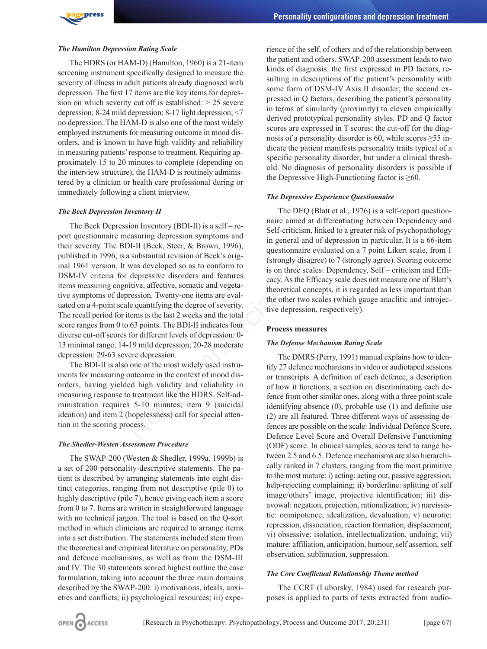

#### *The Hamilton Depression Rating Scale*

The HDRS (or HAM-D) (Hamilton, 1960) is a 21-item screening instrument specifically designed to measure the severity of illness in adult patients already diagnosed with depression. The first 17 items are the key items for depression on which severity cut off is established: > 25 severe depression; 8-24 mild depression; 8-17 light depression; <7 no depression. The HAM-D is also one of the most widely employed instruments for measuring outcome in mood disorders, and is known to have high validity and reliability in measuring patients' response to treatment. Requiring approximately 15 to 20 minutes to complete (depending on the interview structure), the HAM-D is routinely administered by a clinician or health care professional during or immediately following a client interview.

#### *The Beck Depression Inventory II*

The Beck Depression Inventory (BDI-II) is a self – report questionnaire measuring depression symptoms and their severity. The BDI-II (Beck, Steer, & Brown, 1996), published in 1996, is a substantial revision of Beck's original 1961 version. It was developed so as to conform to DSM-IV criteria for depressive disorders and features items measuring cognitive, affective, somatic and vegetative symptoms of depression. Twenty-one items are evaluated on a 4-point scale quantifying the degree of severity. The recall period for items is the last 2 weeks and the total score ranges from 0 to 63 points. The BDI-II indicates four diverse cut-off scores for different levels of depression: 0- 13 minimal range; 14-19 mild depression; 20-28 moderate depression: 29-63 severe depression. **EVALUAT FRAGE CONTROV**<br>
ITE PECC (BIATIST) is a self-re-<br>
naire aimed at differentiating<br>
easuring depression symptoms and<br>
DI-II (Beck, Steer, & Brown, 1996),<br>
a substantial revision of Beck's orig-<br>
uses developed so a

The BDI-II is also one of the most widely used instruments for measuring outcome in the context of mood disorders, having yielded high validity and reliability in measuring response to treatment like the HDRS. Self-administration requires 5-10 minutes; item 9 (suicidal ideation) and item 2 (hopelessness) call for special attention in the scoring process.

# *The Shedler-Westen Assessment Procedure*

The SWAP-200 (Westen & Shedler, 1999a, 1999b) is a set of 200 personality-descriptive statements. The patient is described by arranging statements into eight distinct categories, ranging from not descriptive (pile 0) to highly descriptive (pile 7), hence giving each item a score from 0 to 7. Items are written in straightforward language with no technical jargon. The tool is based on the Q-sort method in which clinicians are required to arrange items into a set distribution. The statements included stem from the theoretical and empirical literature on personality, PDs and defence mechanisms, as well as from the DSM-III and IV. The 30 statements scored highest outline the case formulation, taking into account the three main domains described by the SWAP-200: i) motivations, ideals, anxieties and conflicts; ii) psychological resources; iii) experience of the self, of others and of the relationship between the patient and others. SWAP-200 assessment leads to two kinds of diagnosis: the first expressed in PD factors, resulting in descriptions of the patient's personality with some form of DSM-IV Axis II disorder; the second expressed in Q factors, describing the patient's personality in terms of similarity (proximity) to eleven empirically derived prototypical personality styles. PD and Q factor scores are expressed in T scores: the cut-off for the diagnosis of a personality disorder is 60, while scores  $\geq$ 55 indicate the patient manifests personality traits typical of a specific personality disorder, but under a clinical threshold. No diagnosis of personality disorders is possible if the Depressive High-Functioning factor is  $\geq 60$ .

# *The Depressive Experience Questionnaire*

The DEQ (Blatt et al., 1976) is a self-report questionnaire aimed at differentiating between Dependency and Self-criticism, linked to a greater risk of psychopathology in general and of depression in particular. It is a 66-item questionnaire evaluated on a 7 point Likert scale, from 1 (strongly disagree) to 7 (strongly agree). Scoring outcome is on three scales: Dependency, Self – criticism and Efficacy. As the Efficacy scale does not measure one of Blatt's theoretical concepts, it is regarded as less important than the other two scales (which gauge anaclitic and introjective depression, respectively).

# **Process measures**

# *The Defense Mechanism Rating Scale*

The DMRS (Perry, 1991) manual explains how to identify 27 defence mechanisms in video or audiotaped sessions or transcripts. A definition of each defence, a description of how it functions, a section on discriminating each defence from other similar ones, along with a three point scale identifying absence (0), probable use (1) and definite use (2) are all featured. Three different ways of assessing defences are possible on the scale: Individual Defence Score, Defence Level Score and Overall Defensive Functioning (ODF) score. In clinical samples, scores tend to range between 2.5 and 6.5. Defence mechanisms are also hierarchically ranked in 7 clusters, ranging from the most primitive to the most mature: i) acting: acting out, passive aggression, help-rejecting complaining; ii) borderline: splitting of self image/others' image, projective identification; iii) disavowal: negation, projection, rationalization; iv) narcissistic: omnipotence, idealization, devaluation; v) neurotic: repression, dissociation, reaction formation, displacement; vi) obsessive: isolation, intellectualization, undoing; vii) mature: affiliation, anticipation, humour, self assertion, self observation, sublimation, suppression.

# *The Core Conflictual Relationship Theme method*

The CCRT (Luborsky, 1984) used for research purposes is applied to parts of texts extracted from audio-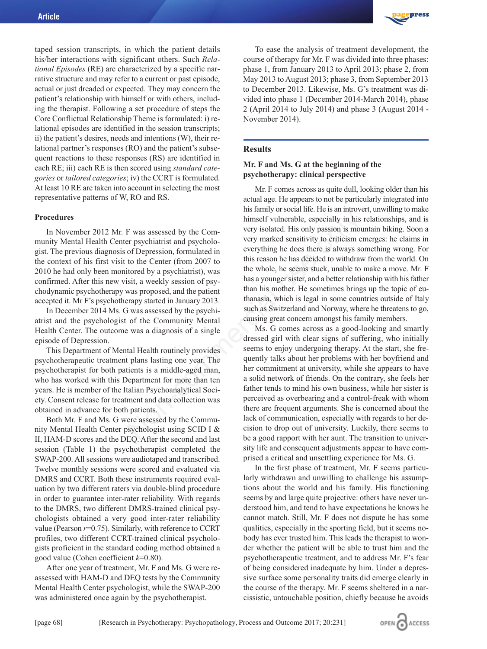taped session transcripts, in which the patient details his/her interactions with significant others. Such *Relational Episodes* (RE) are characterized by a specific narrative structure and may refer to a current or past episode, actual or just dreaded or expected. They may concern the patient's relationship with himself or with others, including the therapist. Following a set procedure of steps the Core Conflictual Relationship Theme is formulated: i) relational episodes are identified in the session transcripts; ii) the patient's desires, needs and intentions (W), their relational partner's responses (RO) and the patient's subsequent reactions to these responses (RS) are identified in each RE; iii) each RE is then scored using *standard categories* or *tailored categories*; iv) the CCRT is formulated. At least 10 RE are taken into account in selecting the most representative patterns of W, RO and RS.

#### **Procedures**

In November 2012 Mr. F was assessed by the Community Mental Health Center psychiatrist and psychologist. The previous diagnosis of Depression, formulated in the context of his first visit to the Center (from 2007 to 2010 he had only been monitored by a psychiatrist), was confirmed. After this new visit, a weekly session of psychodynamic psychotherapy was proposed, and the patient accepted it. Mr F's psychotherapy started in January 2013.

In December 2014 Ms. G was assessed by the psychiatrist and the psychologist of the Community Mental Health Center. The outcome was a diagnosis of a single episode of Depression.

This Department of Mental Health routinely provides psychotherapeutic treatment plans lasting one year. The psychotherapist for both patients is a middle-aged man, who has worked with this Department for more than ten years. He is member of the Italian Psychoanalytical Society. Consent release for treatment and data collection was obtained in advance for both patients.

Both Mr. F and Ms. G were assessed by the Community Mental Health Center psychologist using SCID I & II, HAM-D scores and the DEQ. After the second and last session (Table 1) the psychotherapist completed the SWAP-200. All sessions were audiotaped and transcribed. Twelve monthly sessions were scored and evaluated via DMRS and CCRT. Both these instruments required evaluation by two different raters via double-blind procedure in order to guarantee inter-rater reliability. With regards to the DMRS, two different DMRS-trained clinical psychologists obtained a very good inter-rater reliability value (Pearson  $r=0.75$ ). Similarly, with reference to CCRT profiles, two different CCRT-trained clinical psychologists proficient in the standard coding method obtained a good value (Cohen coefficient *k*=0.80).

After one year of treatment, Mr. F and Ms. G were reassessed with HAM-D and DEQ tests by the Community Mental Health Center psychologist, while the SWAP-200 was administered once again by the psychotherapist.



To ease the analysis of treatment development, the course of therapy for Mr. F was divided into three phases: phase 1, from January 2013 to April 2013; phase 2, from May 2013 to August 2013; phase 3, from September 2013 to December 2013. Likewise, Ms. G's treatment was divided into phase 1 (December 2014-March 2014), phase 2 (April 2014 to July 2014) and phase 3 (August 2014 - November 2014).

#### **Results**

# **Mr. F and Ms. G at the beginning of the psychotherapy: clinical perspective**

Mr. F comes across as quite dull, looking older than his actual age. He appears to not be particularly integrated into his family or social life. He is an introvert, unwilling to make himself vulnerable, especially in his relationships, and is very isolated. His only passion is mountain biking. Soon a very marked sensitivity to criticism emerges: he claims in everything he does there is always something wrong. For this reason he has decided to withdraw from the world. On the whole, he seems stuck, unable to make a move. Mr. F has a younger sister, and a better relationship with his father than his mother. He sometimes brings up the topic of euthanasia, which is legal in some countries outside of Italy such as Switzerland and Norway, where he threatens to go, causing great concern amongst his family members.

Ms. G comes across as a good-looking and smartly dressed girl with clear signs of suffering, who initially seems to enjoy undergoing therapy. At the start, she frequently talks about her problems with her boyfriend and her commitment at university, while she appears to have a solid network of friends. On the contrary, she feels her father tends to mind his own business, while her sister is perceived as overbearing and a control-freak with whom there are frequent arguments. She is concerned about the lack of communication, especially with regards to her decision to drop out of university. Luckily, there seems to be a good rapport with her aunt. The transition to university life and consequent adjustments appear to have comprised a critical and unsettling experience for Ms. G. IF was assessed by the Community solution. In the same that the sepecially in his<br>
IF was assessed by the Com-<br>
Yery isolated. His only passion is moure proychiatrist and psycholo<br>
Yery marked sensitivity to criticism et<br>

> In the first phase of treatment, Mr. F seems particularly withdrawn and unwilling to challenge his assumptions about the world and his family. His functioning seems by and large quite projective: others have never understood him, and tend to have expectations he knows he cannot match. Still, Mr. F does not dispute he has some qualities, especially in the sporting field, but it seems nobody has ever trusted him. This leads the therapist to wonder whether the patient will be able to trust him and the psychotherapeutic treatment, and to address Mr. F's fear of being considered inadequate by him. Under a depressive surface some personality traits did emerge clearly in the course of the therapy. Mr. F seems sheltered in a narcissistic, untouchable position, chiefly because he avoids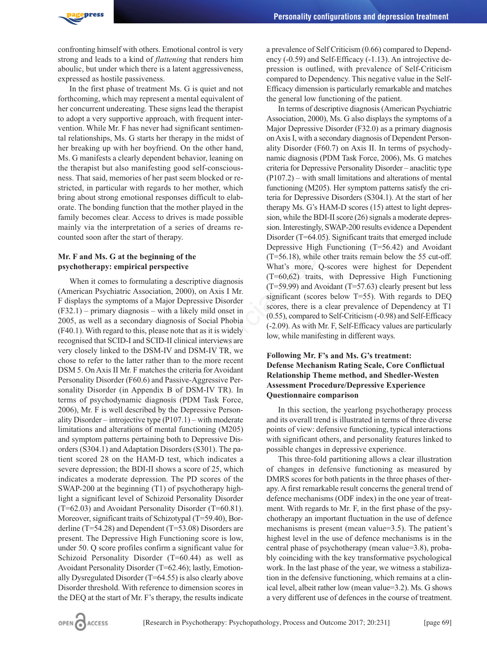

confronting himself with others. Emotional control is very strong and leads to a kind of *flattening* that renders him aboulic, but under which there is a latent aggressiveness, expressed as hostile passiveness.

In the first phase of treatment Ms. G is quiet and not forthcoming, which may represent a mental equivalent of her concurrent undereating. These signs lead the therapist to adopt a very supportive approach, with frequent intervention. While Mr. F has never had significant sentimental relationships, Ms. G starts her therapy in the midst of her breaking up with her boyfriend. On the other hand, Ms. G manifests a clearly dependent behavior, leaning on the therapist but also manifesting good self-consciousness. That said, memories of her past seem blocked or restricted, in particular with regards to her mother, which bring about strong emotional responses difficult to elaborate. The bonding function that the mother played in the family becomes clear. Access to drives is made possible mainly via the interpretation of a series of dreams recounted soon after the start of therapy.

# **Mr. F and Ms. G at the beginning of the psychotherapy: empirical perspective**

When it comes to formulating a descriptive diagnosis (American Psychiatric Association, 2000), on Axis I Mr. F displays the symptoms of a Major Depressive Disorder (F32.1) – primary diagnosis – with a likely mild onset in 2005, as well as a secondary diagnosis of Social Phobia (F40.1). With regard to this, please note that as it is widely recognised that SCID-I and SCID-II clinical interviews are very closely linked to the DSM-IV and DSM-IV TR, we chose to refer to the latter rather than to the more recent DSM 5. On Axis II Mr. F matches the criteria for Avoidant Personality Disorder (F60.6) and Passive-Aggressive Personality Disorder (in Appendix B of DSM-IV TR). In terms of psychodynamic diagnosis (PDM Task Force, 2006), Mr. F is well described by the Depressive Personality Disorder – introjective type (P107.1) – with moderate limitations and alterations of mental functioning (M205) and symptom patterns pertaining both to Depressive Disorders (S304.1) and Adaptation Disorders (S301). The patient scored 28 on the HAM-D test, which indicates a severe depression; the BDI-II shows a score of 25, which indicates a moderate depression. The PD scores of the SWAP-200 at the beginning (T1) of psychotherapy highlight a significant level of Schizoid Personality Disorder (T=62.03) and Avoidant Personality Disorder (T=60.81). Moreover, significant traits of Schizotypal (T=59.40), Borderline (T=54.28) and Dependent (T=53.08) Disorders are present. The Depressive High Functioning score is low, under 50. Q score profiles confirm a significant value for Schizoid Personality Disorder (T=60.44) as well as Avoidant Personality Disorder (T=62.46); lastly, Emotionally Dysregulated Disorder (T=64.55) is also clearly above Disorder threshold. With reference to dimension scores in the DEQ at the start of Mr. F's therapy, the results indicate Example 12<br>
Example 12<br>
Controlling to the BDI-II score (26<br>
Distortation of a series of dreams respective to the BDI-II score (26<br>
e start of therapy.<br>
Disrocter (T=64.05). Significan<br>
Depressive High Functioning<br>
Depres

a prevalence of Self Criticism (0.66) compared to Dependency (-0.59) and Self-Efficacy (-1.13). An introjective depression is outlined, with prevalence of Self-Criticism compared to Dependency. This negative value in the Self-Efficacy dimension is particularly remarkable and matches the general low functioning of the patient.

In terms of descriptive diagnosis (American Psychiatric Association, 2000), Ms. G also displays the symptoms of a Major Depressive Disorder (F32.0) as a primary diagnosis on Axis I, with a secondary diagnosis of Dependent Personality Disorder (F60.7) on Axis II. In terms of psychodynamic diagnosis (PDM Task Force, 2006), Ms. G matches criteria for Depressive Personality Disorder – anaclitic type (P107.2) – with small limitations and alterations of mental functioning (M205). Her symptom patterns satisfy the criteria for Depressive Disorders (S304.1). At the start of her therapy Ms. G's HAM-D scores (15) attest to light depression, while the BDI-II score (26) signals a moderate depression. Interestingly, SWAP-200 results evidence a Dependent Disorder (T=64.05). Significant traits that emerged include Depressive High Functioning (T=56.42) and Avoidant (T=56.18), while other traits remain below the 55 cut-off. What's more, Q-scores were highest for Dependent (T=60,62) traits, with Depressive High Functioning  $(T=59.99)$  and Avoidant  $(T=57.63)$  clearly present but less significant (scores below T=55). With regards to DEQ scores, there is a clear prevalence of Dependency at T1 (0.55), compared to Self-Criticism (-0.98) and Self-Efficacy (-2.09). As with Mr. F, Self-Efficacy values are particularly low, while manifesting in different ways.

# **Following Mr. F's and Ms. G's treatment: Defense Mechanism Rating Scale, Core Conflictual Relationship Theme method, and Shedler-Westen Assessment Procedure/Depressive Experience Questionnaire comparison**

In this section, the yearlong psychotherapy process and its overall trend is illustrated in terms of three diverse points of view: defensive functioning, typical interactions with significant others, and personality features linked to possible changes in depressive experience.

This three-fold partitioning allows a clear illustration of changes in defensive functioning as measured by DMRS scores for both patients in the three phases of therapy. A first remarkable result concerns the general trend of defence mechanisms (ODF index) in the one year of treatment. With regards to Mr. F, in the first phase of the psychotherapy an important fluctuation in the use of defence mechanisms is present (mean value=3.5). The patient's highest level in the use of defence mechanisms is in the central phase of psychotherapy (mean value=3.8), probably coinciding with the key transformative psychological work. In the last phase of the year, we witness a stabilization in the defensive functioning, which remains at a clinical level, albeit rather low (mean value=3.2). Ms. G shows a very different use of defences in the course of treatment.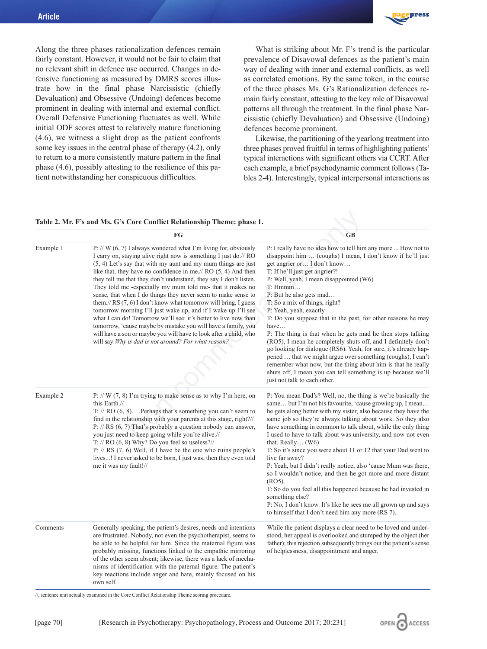

OPEN A ACCESS

Along the three phases rationalization defences remain fairly constant. However, it would not be fair to claim that no relevant shift in defence use occurred. Changes in defensive functioning as measured by DMRS scores illustrate how in the final phase Narcissistic (chiefly Devaluation) and Obsessive (Undoing) defences become prominent in dealing with internal and external conflict. Overall Defensive Functioning fluctuates as well. While initial ODF scores attest to relatively mature functioning (4.6), we witness a slight drop as the patient confronts some key issues in the central phase of therapy (4.2), only to return to a more consistently mature pattern in the final phase (4.6), possibly attesting to the resilience of this patient notwithstanding her conspicuous difficulties.

What is striking about Mr. F's trend is the particular prevalence of Disavowal defences as the patient's main way of dealing with inner and external conflicts, as well as correlated emotions. By the same token, in the course of the three phases Ms. G's Rationalization defences remain fairly constant, attesting to the key role of Disavowal patterns all through the treatment. In the final phase Narcissistic (chiefly Devaluation) and Obsessive (Undoing) defences become prominent.

Likewise, the partitioning of the yearlong treatment into three phases proved fruitful in terms of highlighting patients' typical interactions with significant others via CCRT. After each example, a brief psychodynamic comment follows (Tables 2-4). Interestingly, typical interpersonal interactions as

#### **Table 2. Mr. F's and Ms. G's Core Conflict Relationship Theme: phase 1.**

|           | FG                                                                                                                                                                                                                                                                                                                                                                                                                                                                                                                                                                                                                                                                                                                                                                                                                                                                                   | GB                                                                                                                                                                                                                                                                                                                                                                                                                                                                                                                                                                                                                                                                                                                                                                                                                                                                   |
|-----------|--------------------------------------------------------------------------------------------------------------------------------------------------------------------------------------------------------------------------------------------------------------------------------------------------------------------------------------------------------------------------------------------------------------------------------------------------------------------------------------------------------------------------------------------------------------------------------------------------------------------------------------------------------------------------------------------------------------------------------------------------------------------------------------------------------------------------------------------------------------------------------------|----------------------------------------------------------------------------------------------------------------------------------------------------------------------------------------------------------------------------------------------------------------------------------------------------------------------------------------------------------------------------------------------------------------------------------------------------------------------------------------------------------------------------------------------------------------------------------------------------------------------------------------------------------------------------------------------------------------------------------------------------------------------------------------------------------------------------------------------------------------------|
| Example 1 | $P:$ // W (6, 7) I always wondered what I'm living for, obviously<br>I carry on, staying alive right now is something I just do.// RO<br>(5, 4) Let's say that with my aunt and my mum things are just<br>like that, they have no confidence in me.// RO $(5, 4)$ And then<br>they tell me that they don't understand, they say I don't listen.<br>They told me -especially my mum told me- that it makes no<br>sense, that when I do things they never seem to make sense to<br>them.// RS $(7, 6)$ I don't know what tomorrow will bring, I guess<br>tomorrow morning I'll just wake up, and if I wake up I'll see<br>what I can do! Tomorrow we'll see: it's better to live now than<br>tomorrow, 'cause maybe by mistake you will have a family, you<br>will have a son or maybe you will have to look after a child, who<br>will say Why is dad is not around? For what reason? | P: I really have no idea how to tell him any more  How not to<br>disappoint him  (coughs) I mean, I don't know if he'll just<br>get angrier or I don't know<br>T: If he'll just get angrier?!<br>P: Well, yeah, I mean disappointed (W6)<br>T: Hmmm<br>P: But he also gets mad<br>T: So a mix of things, right?<br>P: Yeah, yeah, exactly<br>T: Do you suppose that in the past, for other reasons he may<br>have<br>P: The thing is that when he gets mad he then stops talking<br>(RO5), I mean he completely shuts off, and I definitely don't<br>go looking for dialogue (RS6). Yeah, for sure, it's already hap-<br>pened  that we might argue over something (coughs), I can't<br>remember what now, but the thing about him is that he really<br>shuts off, I mean you can tell something is up because we'll<br>just not talk to each other.                 |
| Example 2 | $P:$ // W (7, 8) I'm trying to make sense as to why I'm here, on<br>this Earth.//<br>T: $//$ RO $(6, 8)$ .Perhaps that's something you can't seem to<br>find in the relationship with your parents at this stage, right?//<br>P: $//$ RS $(6, 7)$ That's probably a question nobody can answer,<br>you just need to keep going while you're alive.//<br>T: $// RO (6, 8) Why? Do you feel so useless? //$<br>P: $\pi$ RS (7, 6) Well, if I have be the one who ruins people's<br>lives! I never asked to be born, I just was, then they even told<br>me it was my fault!//                                                                                                                                                                                                                                                                                                           | P: You mean Dad's? Well, no, the thing is we're basically the<br>same but I'm not his favourite, 'cause growing up, I mean<br>he gets along better with my sister, also because they have the<br>same job so they're always talking about work. So they also<br>have something in common to talk about, while the only thing<br>I used to have to talk about was university, and now not even<br>that. Really $(W6)$<br>T: So it's since you were about 11 or 12 that your Dad went to<br>live far away?<br>P: Yeah, but I didn't really notice, also 'cause Mum was there,<br>so I wouldn't notice, and then he got more and more distant<br>$(RO5)$ .<br>T: So do you feel all this happened because he had invested in<br>something else?<br>P: No, I don't know. It's like he sees me all grown up and says<br>to himself that I don't need him any more (RS 7). |
| Comments  | Generally speaking, the patient's desires, needs and intentions<br>are frustrated. Nobody, not even the psychotherapist, seems to<br>be able to be helpful for him. Since the maternal figure was<br>probably missing, functions linked to the empathic mirroring<br>of the other seem absent; likewise, there was a lack of mecha-<br>nisms of identification with the paternal figure. The patient's<br>key reactions include anger and hate, mainly focused on his<br>own self.                                                                                                                                                                                                                                                                                                                                                                                                   | While the patient displays a clear need to be loved and under-<br>stood, her appeal is overlooked and stumped by the object (her<br>father); this rejection subsequently brings out the patient's sense<br>of helplessness, disappointment and anger.                                                                                                                                                                                                                                                                                                                                                                                                                                                                                                                                                                                                                |

//, sentence unit actually examined in the Core Conflict Relationship Theme scoring procedure.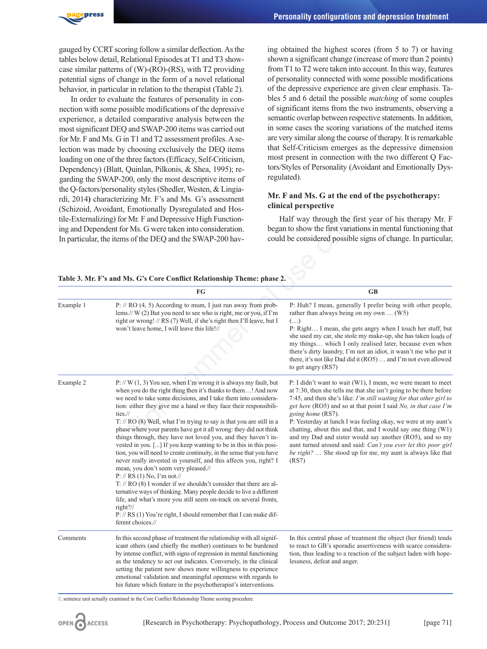

gauged by CCRT scoring follow a similar deflection. As the tables below detail, Relational Episodes at T1 and T3 showcase similar patterns of (W)-(RO)-(RS), with T2 providing potential signs of change in the form of a novel relational behavior, in particular in relation to the therapist (Table 2).

In order to evaluate the features of personality in connection with some possible modifications of the depressive experience, a detailed comparative analysis between the most significant DEQ and SWAP-200 items was carried out for Mr. F and Ms. G in T1 and T2 assessment profiles. A selection was made by choosing exclusively the DEQ items loading on one of the three factors (Efficacy, Self-Criticism, Dependency) (Blatt, Quinlan, Pilkonis, & Shea, 1995); regarding the SWAP-200, only the most descriptive items of the Q-factors/personality styles (Shedler, Westen, & Lingiardi, 2014**)** characterizing Mr. F's and Ms. G's assessment (Schizoid, Avoidant, Emotionally Dysregulated and Hostile-Externalizing) for Mr. F and Depressive High Functioning and Dependent for Ms. G were taken into consideration. In particular, the items of the DEQ and the SWAP-200 hav-

ing obtained the highest scores (from 5 to 7) or having shown a significant change (increase of more than 2 points) from T1 to T2 were taken into account. In this way, features of personality connected with some possible modifications of the depressive experience are given clear emphasis. Tables 5 and 6 detail the possible *matching* of some couples of significant items from the two instruments, observing a semantic overlap between respective statements. In addition, in some cases the scoring variations of the matched items are very similar along the course of therapy. It is remarkable that Self-Criticism emerges as the depressive dimension most present in connection with the two different Q Factors/Styles of Personality (Avoidant and Emotionally Dysregulated).

# **Mr. F and Ms. G at the end of the psychotherapy: clinical perspective**

**Table 3. Mr. F's and Ms. G's Core Conflict Relationship Theme: phase 2.**

|                                                                         | tile-Externalizing) for Mr. F and Depressive High Function-<br>ing and Dependent for Ms. G were taken into consideration.<br>In particular, the items of the DEQ and the SWAP-200 hav-                                                                                                                                                                                                                                                                                                                                                                                                                                                                                                                                                                                                                                                                                                                                                                                                                                                                                                                                     | Half way through the first year of his therapy Mr. F<br>began to show the first variations in mental functioning that<br>could be considered possible signs of change. In particular,                                                                                                                                                                                                                                                                                                                                                                                                                                                      |  |  |  |  |  |  |
|-------------------------------------------------------------------------|----------------------------------------------------------------------------------------------------------------------------------------------------------------------------------------------------------------------------------------------------------------------------------------------------------------------------------------------------------------------------------------------------------------------------------------------------------------------------------------------------------------------------------------------------------------------------------------------------------------------------------------------------------------------------------------------------------------------------------------------------------------------------------------------------------------------------------------------------------------------------------------------------------------------------------------------------------------------------------------------------------------------------------------------------------------------------------------------------------------------------|--------------------------------------------------------------------------------------------------------------------------------------------------------------------------------------------------------------------------------------------------------------------------------------------------------------------------------------------------------------------------------------------------------------------------------------------------------------------------------------------------------------------------------------------------------------------------------------------------------------------------------------------|--|--|--|--|--|--|
| Table 3. Mr. F's and Ms. G's Core Conflict Relationship Theme: phase 2. |                                                                                                                                                                                                                                                                                                                                                                                                                                                                                                                                                                                                                                                                                                                                                                                                                                                                                                                                                                                                                                                                                                                            |                                                                                                                                                                                                                                                                                                                                                                                                                                                                                                                                                                                                                                            |  |  |  |  |  |  |
|                                                                         | FG                                                                                                                                                                                                                                                                                                                                                                                                                                                                                                                                                                                                                                                                                                                                                                                                                                                                                                                                                                                                                                                                                                                         | <b>GB</b>                                                                                                                                                                                                                                                                                                                                                                                                                                                                                                                                                                                                                                  |  |  |  |  |  |  |
| Example 1                                                               | P: $//$ RO (4, 5) According to mum, I just run away from prob-<br>lems.// W $(2)$ But you need to see who is right, me or you, if I'm<br>right or wrong! // RS (7) Well, if she's right then I'll leave, but I<br>won't leave home, I will leave this life!//                                                                                                                                                                                                                                                                                                                                                                                                                                                                                                                                                                                                                                                                                                                                                                                                                                                              | P: Huh? I mean, generally I prefer being with other people,<br>rather than always being on my own  (W5)<br>$(\ldots)$<br>P: Right I mean, she gets angry when I touch her stuff, but<br>she used my car, she stole my make-up, she has taken loads of<br>my things which I only realised later, because even when<br>there's dirty laundry, I'm not an idiot, it wasn't me who put it<br>there, it's not like Dad did it (RO5)  and I'm not even allowed<br>to get angry (RS7)                                                                                                                                                             |  |  |  |  |  |  |
| Example 2                                                               | $P:$ //W(1, 3) You see, when I'm wrong it is always my fault, but<br>when you do the right thing then it's thanks to them! And now<br>we need to take some decisions, and I take them into considera-<br>tion: either they give me a hand or they face their responsibili-<br>ties.//<br>$T:$ $\pi$ RO (8) Well, what I'm trying to say is that you are still in a<br>phase where your parents have got it all wrong: they did not think<br>things through, they have not loved you, and they haven't in-<br>vested in you. [] If you keep wanting to be in this in this posi-<br>tion, you will need to create continuity, in the sense that you have<br>never really invested in yourself, and this affects you, right? I<br>mean, you don't seem very pleased.//<br>P: // RS (1) No, I'm not. //<br>T: $// RO(8) I wonder if we shouldn't consider that there are al-$<br>ternative ways of thinking. Many people decide to live a different<br>life, and what's more you still seem on-track on several fronts,<br>right?//<br>$P: // RS(1) You're right, I should remember that I can make dif-$<br>ferent choices.// | P: I didn't want to wait (W1), I mean, we were meant to meet<br>at 7:30, then she tells me that she isn't going to be there before<br>7:45, and then she's like: I'm still waiting for that other girl to<br>get here (RO5) and so at that point I said No, in that case I'm<br>going home (RS7).<br>P: Yesterday at lunch I was feeling okay, we were at my aunt's<br>chatting, about this and that, and I would say one thing (W1)<br>and my Dad and sister would say another (RO5), and so my<br>aunt turned around and said: Can't you ever let this poor girl<br>be right?  She stood up for me, my aunt is always like that<br>(RS7) |  |  |  |  |  |  |
| Comments                                                                | In this second phase of treatment the relationship with all signif-<br>icant others (and chiefly the mother) continues to be burdened<br>by intense conflict, with signs of regression in mental functioning<br>as the tendency to act out indicates. Conversely, in the clinical<br>setting the patient now shows more willingness to experience<br>emotional validation and meaningful openness with regards to<br>his future which feature in the psychotherapist's interventions.                                                                                                                                                                                                                                                                                                                                                                                                                                                                                                                                                                                                                                      | In this central phase of treatment the object (her friend) tends<br>to react to GB's sporadic assertiveness with scarce considera-<br>tion, thus leading to a reaction of the subject laden with hope-<br>lessness, defeat and anger.                                                                                                                                                                                                                                                                                                                                                                                                      |  |  |  |  |  |  |

//, sentence unit actually examined in the Core Conflict Relationship Theme scoring procedure.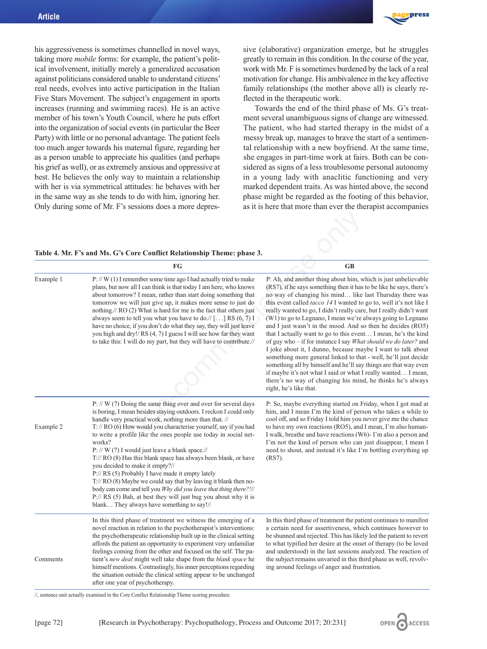

his aggressiveness is sometimes channelled in novel ways, taking more *mobile* forms: for example, the patient's political involvement, initially merely a generalized accusation against politicians considered unable to understand citizens' real needs, evolves into active participation in the Italian Five Stars Movement. The subject's engagement in sports increases (running and swimming races). He is an active member of his town's Youth Council, where he puts effort into the organization of social events (in particular the Beer Party) with little or no personal advantage. The patient feels too much anger towards his maternal figure, regarding her as a person unable to appreciate his qualities (and perhaps his grief as well), or as extremely anxious and oppressive at best. He believes the only way to maintain a relationship with her is via symmetrical attitudes: he behaves with her in the same way as she tends to do with him, ignoring her. Only during some of Mr. F's sessions does a more depressive (elaborative) organization emerge, but he struggles greatly to remain in this condition. In the course of the year, work with Mr. F is sometimes burdened by the lack of a real motivation for change. His ambivalence in the key affective family relationships (the mother above all) is clearly reflected in the therapeutic work.

Towards the end of the third phase of Ms. G's treatment several unambiguous signs of change are witnessed. The patient, who had started therapy in the midst of a messy break up, manages to brave the start of a sentimental relationship with a new boyfriend. At the same time, she engages in part-time work at fairs. Both can be considered as signs of a less troublesome personal autonomy in a young lady with anaclitic functioning and very marked dependent traits. As was hinted above, the second phase might be regarded as the footing of this behavior, as it is here that more than ever the therapist accompanies

|           | Table 4. Mr. F's and Ms. G's Core Conflict Relationship Theme: phase 3.                                                                                                                                                                                                                                                                                                                                                                                                                                                                                                                                                                                                                                                                                                                                                   |                                                                                                                                                                                                                                                                                                                                                                                                                                                                                                                                                                                                                                                                                                                                                                                                                                                                                                                                                                                         |
|-----------|---------------------------------------------------------------------------------------------------------------------------------------------------------------------------------------------------------------------------------------------------------------------------------------------------------------------------------------------------------------------------------------------------------------------------------------------------------------------------------------------------------------------------------------------------------------------------------------------------------------------------------------------------------------------------------------------------------------------------------------------------------------------------------------------------------------------------|-----------------------------------------------------------------------------------------------------------------------------------------------------------------------------------------------------------------------------------------------------------------------------------------------------------------------------------------------------------------------------------------------------------------------------------------------------------------------------------------------------------------------------------------------------------------------------------------------------------------------------------------------------------------------------------------------------------------------------------------------------------------------------------------------------------------------------------------------------------------------------------------------------------------------------------------------------------------------------------------|
|           | FG                                                                                                                                                                                                                                                                                                                                                                                                                                                                                                                                                                                                                                                                                                                                                                                                                        | <b>GB</b>                                                                                                                                                                                                                                                                                                                                                                                                                                                                                                                                                                                                                                                                                                                                                                                                                                                                                                                                                                               |
| Example 1 | $P:$ //W(1) I remember some time ago I had actually tried to make<br>plans, but now all I can think is that today I am here, who knows<br>about tomorrow? I mean, rather than start doing something that<br>tomorrow we will just give up, it makes more sense to just do<br>nothing.// RO (2) What is hard for me is the fact that others just<br>always seem to tell you what you have to do.// [] RS $(6, 7)$ I<br>have no choice, if you don't do what they say, they will just leave<br>you high and dry!/ RS (4, 7) I guess I will see how far they want<br>to take this: I will do my part, but they will have to contribute.//                                                                                                                                                                                    | P: Ah, and another thing about him, which is just unbelievable<br>(RS7), if he says something then it has to be like he says, there's<br>no way of changing his mind like last Thursday there was<br>this event called <i>tacco 14</i> I wanted to go to, well it's not like I<br>really wanted to go, I didn't really care, but I really didn't want<br>(W1) to go to Legnano, I mean we're always going to Legnano<br>and I just wasn't in the mood. And so then he decides (RO5)<br>that I actually want to go to this event I mean, he's the kind<br>of guy who - if for instance I say What should we do later? and<br>I joke about it, I dunno, because maybe I want to talk about<br>something more general linked to that - well, he'll just decide<br>something all by himself and he'll say things are that way even<br>if maybe it's not what I said or what I really wanted I mean,<br>there's no way of changing his mind, he thinks he's always<br>right, he's like that. |
| Example 2 | $P:$ // W (7) Doing the same thing over and over for several days<br>is boring, I mean besides staying outdoors. I reckon I could only<br>handle very practical work, nothing more than that. //<br>T: // RO (6) How would you characterise yourself, say if you had<br>to write a profile like the ones people use today in social net-<br>works?<br>P: // W (7) I would just leave a blank space.//<br>T:// RO (8) Has this blank space has always been blank, or have<br>you decided to make it empty?//<br>P:// RS (5) Probably I have made it empty lately<br>T:// RO (8) Maybe we could say that by leaving it blank then no-<br>body can come and tell you Why did you leave that thing there?!//<br>P:// RS (5) Bah, at best they will just bug you about why it is<br>blank They always have something to say!// | P: So, maybe everything started on Friday, when I got mad at<br>him, and I mean I'm the kind of person who takes a while to<br>cool off, and so Friday I told him you never give me the chance<br>to have my own reactions (RO5), and I mean, I'm also human-<br>I walk, breathe and have reactions (W6)- I'm also a person and<br>I'm not the kind of person who can just disappear, I mean I<br>need to shout, and instead it's like I'm bottling everything up<br>$(RS7)$ .                                                                                                                                                                                                                                                                                                                                                                                                                                                                                                          |
| Comments  | In this third phase of treatment we witness the emerging of a<br>novel reaction in relation to the psychotherapist's interventions:<br>the psychotherapeutic relationship built up in the clinical setting<br>affords the patient an opportunity to experiment very unfamiliar<br>feelings coming from the other and focused on the self. The pa-<br>tient's new deal might well take shape from the blank space he<br>himself mentions. Contrastingly, his inner perceptions regarding<br>the situation outside the clinical setting appear to be unchanged<br>after one year of psychotherapy.                                                                                                                                                                                                                          | In this third phase of treatment the patient continues to manifest<br>a certain need for assertiveness, which continues however to<br>be shunned and rejected. This has likely led the patient to revert<br>to what typified her desire at the onset of therapy (to be loved<br>and understood) in the last sessions analyzed. The reaction of<br>the subject remains unvaried in this third phase as well, revolv-<br>ing around feelings of anger and frustration.                                                                                                                                                                                                                                                                                                                                                                                                                                                                                                                    |

//, sentence unit actually examined in the Core Conflict Relationship Theme scoring procedure.

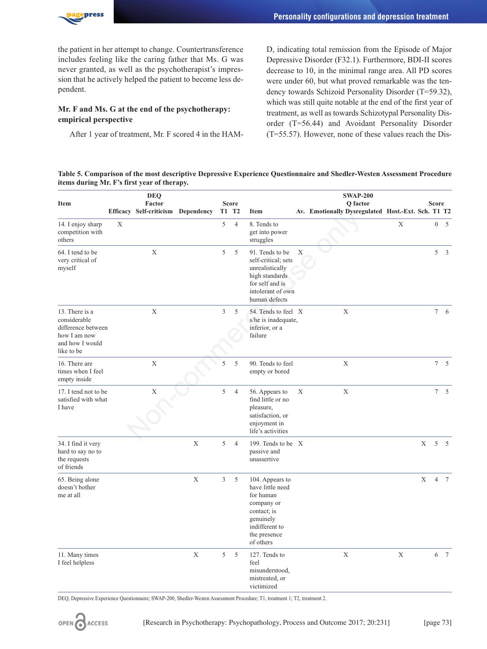

the patient in her attempt to change. Countertransference includes feeling like the caring father that Ms. G was never granted, as well as the psychotherapist's impression that he actively helped the patient to become less dependent.

# **Mr. F and Ms. G at the end of the psychotherapy: empirical perspective**

After 1 year of treatment, Mr. F scored 4 in the HAM-

D, indicating total remission from the Episode of Major Depressive Disorder (F32.1). Furthermore, BDI-II scores decrease to 10, in the minimal range area. All PD scores were under 60, but what proved remarkable was the tendency towards Schizoid Personality Disorder (T=59.32), which was still quite notable at the end of the first year of treatment, as well as towards Schizotypal Personality Disorder (T=56.44) and Avoidant Personality Disorder (T=55.57). However, none of these values reach the Dis-

**Table 5. Comparison of the most descriptive Depressive Experience Questionnaire and Shedler-Westen Assessment Procedure items during Mr. F's first year of therapy.**

| Item                                                                                                  | <b>DEQ</b><br>Factor |                                    |             | <b>Score</b> |                |                                                                                                                                           |   | <b>SWAP-200</b><br>Q factor                        |   |   | <b>Score</b>     |                |
|-------------------------------------------------------------------------------------------------------|----------------------|------------------------------------|-------------|--------------|----------------|-------------------------------------------------------------------------------------------------------------------------------------------|---|----------------------------------------------------|---|---|------------------|----------------|
|                                                                                                       |                      | Efficacy Self-criticism Dependency |             |              | T1 T2          | Item                                                                                                                                      |   | Av. Emotionally Dysregulated Host.-Ext. Sch. T1 T2 |   |   |                  |                |
| 14. I enjoy sharp<br>competition with<br>others                                                       | Χ                    |                                    |             | 5            | $\overline{4}$ | 8. Tends to<br>get into power<br>struggles                                                                                                |   |                                                    | X |   | $\boldsymbol{0}$ | 5              |
| 64. I tend to be<br>very critical of<br>myself                                                        |                      | $\mathbf X$                        |             | 5            | 5              | 91. Tends to be<br>self-critical; sets<br>unrealistically<br>high standards<br>for self and is<br>intolerant of own<br>human defects      | X |                                                    |   |   | 5                | $\overline{3}$ |
| 13. There is a<br>considerable<br>difference between<br>how I am now<br>and how I would<br>like to be |                      | $\mathbf X$                        |             | 3            | 5              | 54. Tends to feel X<br>s/he is inadequate,<br>inferior, or a<br>failure                                                                   |   | $\mathbf X$                                        |   |   |                  | 7 6            |
| 16. There are<br>times when I feel<br>empty inside                                                    |                      | X                                  |             | 5            | 5              | 90. Tends to feel<br>empty or bored                                                                                                       |   | X                                                  |   |   |                  | 7 <sub>5</sub> |
| 17. I tend not to be<br>satisfied with what<br>I have                                                 |                      | $\mathbf X$                        |             | 5            | $\overline{4}$ | 56. Appears to<br>find little or no<br>pleasure,<br>satisfaction, or<br>enjoyment in<br>life's activities                                 | X | $\mathbf X$                                        |   |   |                  | 7 <sub>5</sub> |
| 34. I find it very<br>hard to say no to<br>the requests<br>of friends                                 |                      |                                    | $\mathbf X$ | 5            | $\overline{4}$ | 199. Tends to be X<br>passive and<br>unassertive                                                                                          |   |                                                    |   | X |                  | $5 \quad 5$    |
| 65. Being alone<br>doesn't bother<br>me at all                                                        |                      |                                    | X           | 3            | 5              | 104. Appears to<br>have little need<br>for human<br>company or<br>contact; is<br>genuinely<br>indifferent to<br>the presence<br>of others |   |                                                    |   | X |                  | 4 7            |
| 11. Many times<br>I feel helpless                                                                     |                      |                                    | X           | 5            | 5              | 127. Tends to<br>feel<br>misunderstood,<br>mistreated, or<br>victimized                                                                   |   | X                                                  | X |   | 6                | 7              |

DEQ, Depressive Experience Questionnaire; SWAP-200, Shedler-Westen Assessment Procedure; T1, treatment 1; T2, treatment 2.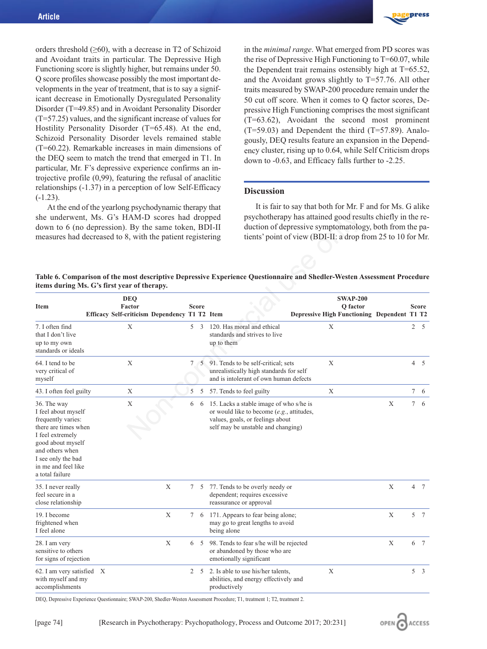orders threshold (≥60), with a decrease in T2 of Schizoid and Avoidant traits in particular. The Depressive High Functioning score is slightly higher, but remains under 50. Q score profiles showcase possibly the most important developments in the year of treatment, that is to say a significant decrease in Emotionally Dysregulated Personality Disorder (T=49.85) and in Avoidant Personality Disorder (T=57.25) values, and the significant increase of values for Hostility Personality Disorder (T=65.48). At the end, Schizoid Personality Disorder levels remained stable (T=60.22). Remarkable increases in main dimensions of the DEQ seem to match the trend that emerged in T1. In particular, Mr. F's depressive experience confirms an introjective profile (0,99), featuring the refusal of anaclitic relationships (-1.37) in a perception of low Self-Efficacy (-1.23).

At the end of the yearlong psychodynamic therapy that she underwent, Ms. G's HAM-D scores had dropped down to 6 (no depression). By the same token, BDI-II measures had decreased to 8, with the patient registering



OPEN A ACCESS

in the *minimal range*. What emerged from PD scores was the rise of Depressive High Functioning to T=60.07, while the Dependent trait remains ostensibly high at T=65.52, and the Avoidant grows slightly to T=57.76. All other traits measured by SWAP-200 procedure remain under the 50 cut off score. When it comes to Q factor scores, Depressive High Functioning comprises the most significant (T=63.62), Avoidant the second most prominent  $(T=59.03)$  and Dependent the third  $(T=57.89)$ . Analogously, DEQ results feature an expansion in the Dependency cluster, rising up to 0.64, while Self Criticism drops down to -0.63, and Efficacy falls further to -2.25.

# **Discussion**

It is fair to say that both for Mr. F and for Ms. G alike psychotherapy has attained good results chiefly in the reduction of depressive symptomatology, both from the patients' point of view (BDI-II: a drop from 25 to 10 for Mr.

**Table 6. Comparison of the most descriptive Depressive Experience Questionnaire and Shedler-Westen Assessment Procedure items during Ms. G's first year of therapy.**

|                                                                                                                                                                                                              | she underwent, Ms. G's HAM-D scores had dropped<br>down to 6 (no depression). By the same token, BDI-II<br>measures had decreased to 8, with the patient registering |   |              |                                                                                                                                                                | psychotherapy has attained good results chiefly in the re-<br>duction of depressive symptomatology, both from the pa-<br>tients' point of view (BDI-II: a drop from 25 to 10 for Mr. |                             |   |                |
|--------------------------------------------------------------------------------------------------------------------------------------------------------------------------------------------------------------|----------------------------------------------------------------------------------------------------------------------------------------------------------------------|---|--------------|----------------------------------------------------------------------------------------------------------------------------------------------------------------|--------------------------------------------------------------------------------------------------------------------------------------------------------------------------------------|-----------------------------|---|----------------|
| items during Ms. G's first year of therapy.<br><b>Item</b>                                                                                                                                                   | <b>DEO</b><br>Factor<br>Efficacy Self-criticism Dependency T1 T2 Item                                                                                                |   | <b>Score</b> | Table 6. Comparison of the most descriptive Depressive Experience Questionnaire and Shedler-Westen Assessment Procedure                                        | Depressive High Functioning Dependent T1 T2                                                                                                                                          | <b>SWAP-200</b><br>O factor |   | <b>Score</b>   |
| 7. I often find<br>that I don't live<br>up to my own<br>standards or ideals                                                                                                                                  | X                                                                                                                                                                    | 5 | 3            | 120. Has moral and ethical<br>standards and strives to live<br>up to them                                                                                      | X                                                                                                                                                                                    |                             |   | 2 <sub>5</sub> |
| 64. I tend to be<br>very critical of<br>myself                                                                                                                                                               | X                                                                                                                                                                    |   | 7/5          | 91. Tends to be self-critical; sets<br>unrealistically high standards for self<br>and is intolerant of own human defects                                       | X                                                                                                                                                                                    |                             |   | $4\quad 5$     |
| 43. I often feel guilty                                                                                                                                                                                      | Χ                                                                                                                                                                    | 5 | 5            | 57. Tends to feel guilty                                                                                                                                       | Χ                                                                                                                                                                                    |                             |   | 7 6            |
| 36. The way<br>I feel about myself<br>frequently varies:<br>there are times when<br>I feel extremely<br>good about myself<br>and others when<br>I see only the bad<br>in me and feel like<br>a total failure | X                                                                                                                                                                    |   | 6 6          | 15. Lacks a stable image of who s/he is<br>or would like to become (e.g., attitudes,<br>values, goals, or feelings about<br>self may be unstable and changing) |                                                                                                                                                                                      |                             | X | 7 6            |
| 35. I never really<br>feel secure in a<br>close relationship                                                                                                                                                 | X                                                                                                                                                                    |   |              | 7 5 77. Tends to be overly needy or<br>dependent; requires excessive<br>reassurance or approval                                                                |                                                                                                                                                                                      |                             | X | 4 7            |
| 19. I become<br>frightened when<br>I feel alone                                                                                                                                                              | X                                                                                                                                                                    |   |              | 7 6 171. Appears to fear being alone;<br>may go to great lengths to avoid<br>being alone                                                                       |                                                                                                                                                                                      |                             | X | 5 7            |
| 28. I am very<br>sensitive to others<br>for signs of rejection                                                                                                                                               | X                                                                                                                                                                    |   | 6 5          | 98. Tends to fear s/he will be rejected<br>or abandoned by those who are<br>emotionally significant                                                            |                                                                                                                                                                                      |                             | X | 6 7            |
| 62. I am very satisfied X<br>with myself and my<br>accomplishments                                                                                                                                           |                                                                                                                                                                      |   |              | 2 5 2. Is able to use his/her talents,<br>abilities, and energy effectively and<br>productively                                                                | X                                                                                                                                                                                    |                             |   | $5 \quad 3$    |

DEQ, Depressive Experience Questionnaire; SWAP-200, Shedler-Westen Assessment Procedure; T1, treatment 1; T2, treatment 2.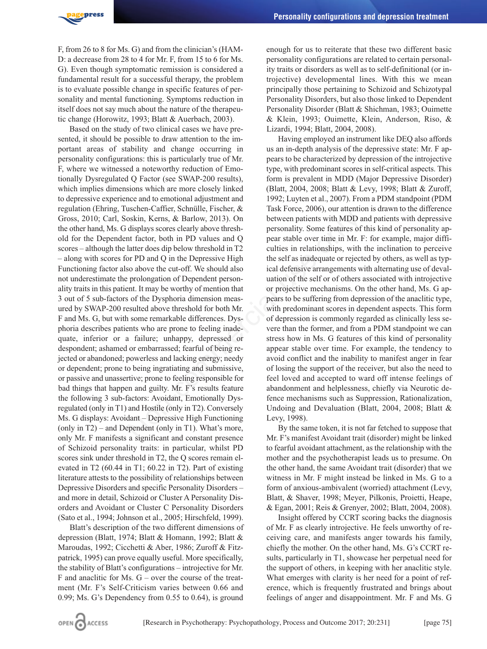

F, from 26 to 8 for Ms. G) and from the clinician's (HAM-D: a decrease from 28 to 4 for Mr. F, from 15 to 6 for Ms. G). Even though symptomatic remission is considered a fundamental result for a successful therapy, the problem is to evaluate possible change in specific features of personality and mental functioning. Symptoms reduction in itself does not say much about the nature of the therapeutic change (Horowitz, 1993; Blatt & Auerbach, 2003).

Based on the study of two clinical cases we have presented, it should be possible to draw attention to the important areas of stability and change occurring in personality configurations: this is particularly true of Mr. F, where we witnessed a noteworthy reduction of Emotionally Dysregulated Q Factor (see SWAP-200 results), which implies dimensions which are more closely linked to depressive experience and to emotional adjustment and regulation (Ehring, Tuschen-Caffier, Schnülle, Fischer, & Gross, 2010; Carl, Soskin, Kerns, & Barlow, 2013). On the other hand, Ms. G displays scores clearly above threshold for the Dependent factor, both in PD values and Q scores – although the latter does dip below threshold in T2 – along with scores for PD and Q in the Depressive High Functioning factor also above the cut-off. We should also not underestimate the prolongation of Dependent personality traits in this patient. It may be worthy of mention that 3 out of 5 sub-factors of the Dysphoria dimension measured by SWAP-200 resulted above threshold for both Mr. F and Ms. G, but with some remarkable differences. Dysphoria describes patients who are prone to feeling inadequate, inferior or a failure; unhappy, depressed or despondent; ashamed or embarrassed; fearful of being rejected or abandoned; powerless and lacking energy; needy or dependent; prone to being ingratiating and submissive, or passive and unassertive; prone to feeling responsible for bad things that happen and guilty. Mr. F's results feature the following 3 sub-factors: Avoidant, Emotionally Dysregulated (only in T1) and Hostile (only in T2). Conversely Ms. G displays: Avoidant – Depressive High Functioning (only in T2) – and Dependent (only in T1). What's more, only Mr. F manifests a significant and constant presence of Schizoid personality traits: in particular, whilst PD scores sink under threshold in T2, the Q scores remain elevated in T2 (60.44 in T1; 60.22 in T2). Part of existing literature attests to the possibility of relationships between Depressive Disorders and specific Personality Disorders – and more in detail, Schizoid or Cluster A Personality Disorders and Avoidant or Cluster C Personality Disorders (Sato et al., 1994; Johnson et al., 2005; Hirschfeld, 1999). Soskin, Kerns, & Barlow, 2013). On<br>
soskin, Kerns, & Barlow, 2013). On<br>
displays scores clearly above thresh<br>
alter does dip below threshold in T2<br>
latter does dip below threshold in T2<br>
latter does dip below threshold in

Blatt's description of the two different dimensions of depression (Blatt, 1974; Blatt & Homann, 1992; Blatt & Maroudas, 1992; Cicchetti & Aber, 1986; Zuroff & Fitzpatrick, 1995) can prove equally useful. More specifically, the stability of Blatt's configurations – introjective for Mr.  $F$  and anaclitic for Ms.  $G$  – over the course of the treatment (Mr. F's Self-Criticism varies between 0.66 and 0.99; Ms. G's Dependency from 0.55 to 0.64), is ground

enough for us to reiterate that these two different basic personality configurations are related to certain personality traits or disorders as well as to self-definitional (or introjective) developmental lines. With this we mean principally those pertaining to Schizoid and Schizotypal Personality Disorders, but also those linked to Dependent Personality Disorder (Blatt & Shichman, 1983; Ouimette & Klein, 1993; Ouimette, Klein, Anderson, Riso, & Lizardi, 1994; Blatt, 2004, 2008).

Having employed an instrument like DEQ also affords us an in-depth analysis of the depressive state: Mr. F appears to be characterized by depression of the introjective type, with predominant scores in self-critical aspects. This form is prevalent in MDD (Major Depressive Disorder) (Blatt, 2004, 2008; Blatt & Levy, 1998; Blatt & Zuroff, 1992; Luyten et al., 2007). From a PDM standpoint (PDM Task Force, 2006), our attention is drawn to the difference between patients with MDD and patients with depressive personality. Some features of this kind of personality appear stable over time in Mr. F: for example, major difficulties in relationships, with the inclination to perceive the self as inadequate or rejected by others, as well as typical defensive arrangements with alternating use of devaluation of the self or of others associated with introjective or projective mechanisms. On the other hand, Ms. G appears to be suffering from depression of the anaclitic type, with predominant scores in dependent aspects. This form of depression is commonly regarded as clinically less severe than the former, and from a PDM standpoint we can stress how in Ms. G features of this kind of personality appear stable over time. For example, the tendency to avoid conflict and the inability to manifest anger in fear of losing the support of the receiver, but also the need to feel loved and accepted to ward off intense feelings of abandonment and helplessness, chiefly via Neurotic defence mechanisms such as Suppression, Rationalization, Undoing and Devaluation (Blatt, 2004, 2008; Blatt & Levy, 1998).

By the same token, it is not far fetched to suppose that Mr. F's manifest Avoidant trait (disorder) might be linked to fearful avoidant attachment, as the relationship with the mother and the psychotherapist leads us to presume. On the other hand, the same Avoidant trait (disorder) that we witness in Mr. F might instead be linked in Ms. G to a form of anxious-ambivalent (worried) attachment (Levy, Blatt, & Shaver, 1998; Meyer, Pilkonis, Proietti, Heape, & Egan, 2001; Reis & Grenyer, 2002; Blatt, 2004, 2008).

Insight offered by CCRT scoring backs the diagnosis of Mr. F as clearly introjective. He feels unworthy of receiving care, and manifests anger towards his family, chiefly the mother. On the other hand, Ms. G's CCRT results, particularly in T1, showcase her perpetual need for the support of others, in keeping with her anaclitic style. What emerges with clarity is her need for a point of reference, which is frequently frustrated and brings about feelings of anger and disappointment. Mr. F and Ms. G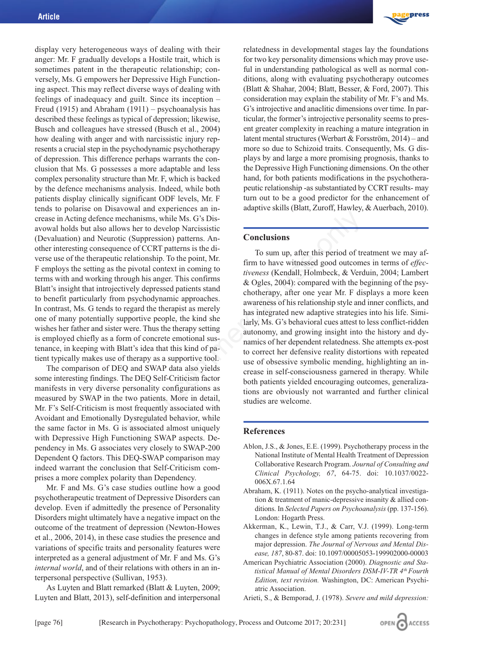display very heterogeneous ways of dealing with their anger: Mr. F gradually develops a Hostile trait, which is sometimes patent in the therapeutic relationship; conversely, Ms. G empowers her Depressive High Functioning aspect. This may reflect diverse ways of dealing with feelings of inadequacy and guilt. Since its inception – Freud (1915) and Abraham (1911) – psychoanalysis has described these feelings as typical of depression; likewise, Busch and colleagues have stressed (Busch et al., 2004) how dealing with anger and with narcissistic injury represents a crucial step in the psychodynamic psychotherapy of depression. This difference perhaps warrants the conclusion that Ms. G possesses a more adaptable and less complex personality structure than Mr. F, which is backed by the defence mechanisms analysis. Indeed, while both patients display clinically significant ODF levels, Mr. F tends to polarise on Disavowal and experiences an increase in Acting defence mechanisms, while Ms. G's Disavowal holds but also allows her to develop Narcissistic (Devaluation) and Neurotic (Suppression) patterns. Another interesting consequence of CCRT patterns is the diverse use of the therapeutic relationship. To the point, Mr. F employs the setting as the pivotal context in coming to terms with and working through his anger. This confirms Blatt's insight that introjectively depressed patients stand to benefit particularly from psychodynamic approaches. In contrast, Ms. G tends to regard the therapist as merely one of many potentially supportive people, the kind she wishes her father and sister were. Thus the therapy setting is employed chiefly as a form of concrete emotional sustenance, in keeping with Blatt's idea that this kind of patient typically makes use of therapy as a supportive tool.

The comparison of DEQ and SWAP data also yields some interesting findings. The DEQ Self-Criticism factor manifests in very diverse personality configurations as measured by SWAP in the two patients. More in detail, Mr. F's Self-Criticism is most frequently associated with Avoidant and Emotionally Dysregulated behavior, while the same factor in Ms. G is associated almost uniquely with Depressive High Functioning SWAP aspects. Dependency in Ms. G associates very closely to SWAP-200 Dependent Q factors. This DEQ-SWAP comparison may indeed warrant the conclusion that Self-Criticism comprises a more complex polarity than Dependency.

Mr. F and Ms. G's case studies outline how a good psychotherapeutic treatment of Depressive Disorders can develop. Even if admittedly the presence of Personality Disorders might ultimately have a negative impact on the outcome of the treatment of depression (Newton-Howes et al., 2006, 2014), in these case studies the presence and variations of specific traits and personality features were interpreted as a general adjustment of Mr. F and Ms. G's *internal world*, and of their relations with others in an interpersonal perspective (Sullivan, 1953).

As Luyten and Blatt remarked (Blatt & Luyten, 2009; Luyten and Blatt, 2013), self-definition and interpersonal



relatedness in developmental stages lay the foundations for two key personality dimensions which may prove useful in understanding pathological as well as normal conditions, along with evaluating psychotherapy outcomes (Blatt & Shahar, 2004; Blatt, Besser, & Ford, 2007). This consideration may explain the stability of Mr. F's and Ms. G's introjective and anaclitic dimensions over time. In particular, the former's introjective personality seems to present greater complexity in reaching a mature integration in latent mental structures (Werbart & Forsström, 2014) – and more so due to Schizoid traits. Consequently, Ms. G displays by and large a more promising prognosis, thanks to the Depressive High Functioning dimensions. On the other hand, for both patients modifications in the psychotherapeutic relationship -as substantiated by CCRT results- may turn out to be a good predictor for the enhancement of adaptive skills (Blatt, Zuroff, Hawley, & Auerbach, 2010).

# **Conclusions**

To sum up, after this period of treatment we may affirm to have witnessed good outcomes in terms of *effectiveness* (Kendall, Holmbeck, & Verduin, 2004; Lambert & Ogles, 2004): compared with the beginning of the psychotherapy, after one year Mr. F displays a more keen awareness of his relationship style and inner conflicts, and has integrated new adaptive strategies into his life. Similarly, Ms. G's behavioral cues attest to less conflict-ridden autonomy, and growing insight into the history and dynamics of her dependent relatedness. She attempts ex-post to correct her defensive reality distortions with repeated use of obsessive symbolic mending, highlighting an increase in self-consciousness garnered in therapy. While both patients yielded encouraging outcomes, generalizations are obviously not warranted and further clinical studies are welcome. None and experiences and the discussion of the seatest and experiences of CCRT patterns is the discussion of the discussion patterns is the discussion of the discussion patterns is the discussion of the discussion of the d

#### **References**

- Ablon, J.S., & Jones, E.E. (1999). Psychotherapy process in the National Institute of Mental Health Treatment of Depression Collaborative Research Program. *Journal of Consulting and Clinical Psychology, 67*, 64-75. doi: 10.1037/0022- 006X.67.1.64
- Abraham, K. (1911). Notes on the psycho-analytical investigation & treatment of manic-depressive insanity & allied conditions. In *Selected Papers on Psychoanalysis* (pp. 137-156). London: Hogarth Press.
- Akkerman, K., Lewin, T.J., & Carr, V.J. (1999). Long-term changes in defence style among patients recovering from major depression. *The Journal of Nervous and Mental Disease, 187*, 80-87. doi: 10.1097/00005053-199902000-00003
- American Psychiatric Association (2000). *Diagnostic and Statistical Manual of Mental Disorders DSM-IV-TR 4th Fourth Edition, text revision.* Washington, DC: American Psychiatric Association.
- Arieti, S., & Bemporad, J. (1978). *Severe and mild depression:*

OPEN CACCESS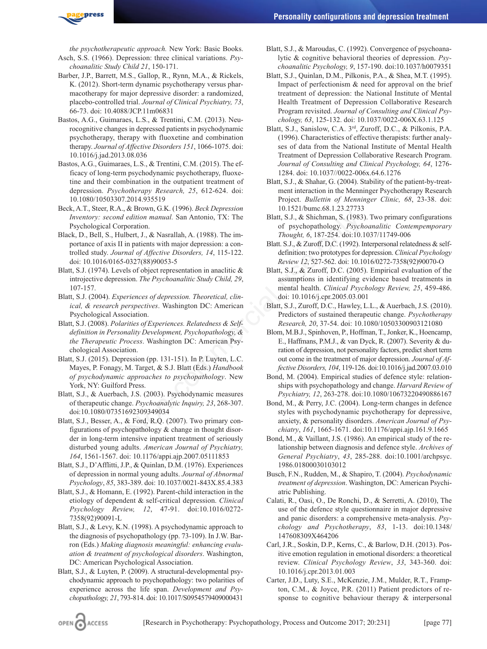

*the psychotherapeutic approach.* New York: Basic Books. Asch, S.S. (1966). Depression: three clinical variations. *Psychoanalitic Study Child 21*, 150-171.

- Barber, J.P., Barrett, M.S., Gallop, R., Rynn, M.A., & Rickels, K. (2012). Short-term dynamic psychotherapy versus pharmacotherapy for major depressive disorder: a randomized, placebo-controlled trial. *Journal of Clinical Psychiatry, 73*, 66-73. doi: 10.4088/JCP.11m06831
- Bastos, A.G., Guimaraes, L.S., & Trentini, C.M. (2013). Neurocognitive changes in depressed patients in psychodynamic psychotherapy, therapy with fluoxetine and combination therapy. *Journal of Affective Disorders 151*, 1066-1075. doi: 10.1016/j.jad.2013.08.036
- Bastos, A.G., Guimaraes, L.S., & Trentini, C.M. (2015). The efficacy of long-term psychodynamic psychotherapy, fluoxetine and their combination in the outpatient treatment of depression. *Psychotherapy Research, 25*, 612-624. doi: 10.1080/10503307.2014.935519
- Beck, A.T., Steer, R.A., & Brown, G.K. (1996). *Beck Depression Inventory: second edition manual.* San Antonio, TX: The Psychological Corporation.
- Black, D., Bell, S., Hulbert, J., & Nasrallah, A. (1988). The importance of axis II in patients with major depression: a controlled study. *Journal of Affective Disorders, 14*, 115-122. doi: 10.1016/0165-0327(88)90053-5
- Blatt, S.J. (1974). Levels of object representation in anaclitic & introjective depression. *The Psychoanalitic Study Child, 29*, 107-157.
- Blatt, S.J. (2004). *Experiences of depression. Theoretical, clinical, & research perspectives*. Washington DC: American Psychological Association.
- Blatt, S.J. (2008). *Polarities of Experiences. Relatedness & Selfdefinition in Personality Development, Psychopathology, & the Therapeutic Process*. Washington DC: American Psychological Association.
- Blatt, S.J. (2015). Depression (pp. 131-151). In P. Luyten, L.C. Mayes, P. Fonagy, M. Target, & S.J. Blatt (Eds.) *Handbook of psychodynamic approaches to psychopathology*. New York, NY: Guilford Press.
- Blatt, S.J., & Auerbach, J.S. (2003). Psychodynamic measures of therapeutic change. *Psychoanalytic Inquiry, 23*, 268-307. doi:10.1080/07351692309349034
- Blatt, S.J., Besser, A., & Ford, R.Q. (2007). Two primary configurations of psychopathology & change in thought disorder in long-term intensive inpatient treatment of seriously disturbed young adults. *American Journal of Psychiatry, 164*, 1561-1567. doi: 10.1176/appi.ajp.2007.05111853
- Blatt, S.J., D'Afflitti, J.P., & Quinlan, D.M. (1976). Experiences of depression in normal young adults. *Journal of Abnormal Psychology*, *85*, 383-389. doi: 10.1037/0021-843X.85.4.383
- Blatt, S.J., & Homann, E. (1992). Parent-child interaction in the etiology of dependent & self-critical depression. *Clinical Psychology Review, 12*, 47-91. doi:10.1016/0272- 7358(92)90091-L
- Blatt, S.J., & Levy, K.N. (1998). A psychodynamic approach to the diagnosis of psychopathology (pp. 73-109). In J.W. Barron (Eds.) *Making diagnosis meaningful: enhancing evaluation & treatment of psychological disorders*. Washington, DC: American Psychological Association.
- Blatt, S.J., & Luyten, P. (2009). A structural-developmental psychodynamic approach to psychopathology: two polarities of experience across the life span. *Development and Psychopathology, 21*, 793-814. doi: 10.1017/S0954579409000431
- Blatt, S.J., & Maroudas, C. (1992). Convergence of psychoanalytic & cognitive behavioral theories of depression. *Psychoanalitic Psychology, 9*, 157-190. doi:10.1037/h0079351
- Blatt, S.J., Quinlan, D.M., Pilkonis, P.A., & Shea, M.T. (1995). Impact of perfectionism & need for approval on the brief treatment of depression: the National Institute of Mental Health Treatment of Depression Collaborative Research Program revisited. *Journal of Consulting and Clinical Psychology, 63*, 125-132. doi: 10.1037/0022-006X.63.1.125
- Blatt, S.J., Sanislow, C.A. 3rd, Zuroff, D.C., & Pilkonis, P.A. (1996). Characteristics of effective therapists: further analyses of data from the National Institute of Mental Health Treatment of Depression Collaborative Research Program. *Journal of Consulting and Clinical Psychology, 64*, 1276- 1284. doi: 10.1037//0022-006x.64.6.1276
- Blatt, S.J., & Shahar, G. (2004). Stability of the patient-by-treatment interaction in the Menninger Psychotherapy Research Project. *Bullettin of Menninger Clinic, 68*, 23-38. doi: 10.1521/bumc.68.1.23.27733
- Blatt, S.J., & Shichman, S. (1983). Two primary configurations of psychopathology. *Psychoanalitic Contempemporary Thought, 6*, 187-254. doi:10.1037/11749-006
- Blatt. S.J., & Zuroff, D.C. (1992). Interpersonal relatedness & selfdefinition: two prototypes for depression. *Clinical Psychology Review 12*, 527-562. doi: 10.1016/0272-7358(92)90070-O
- Blatt, S.J., & Zuroff, D.C. (2005). Empirical evaluation of the assumptions in identifying evidence based treatments in mental health. *Clinical Psychology Review, 25*, 459-486. doi: 10.1016/j.cpr.2005.03.001
- Blatt, S.J., Zuroff, D.C., Hawley, L.L., & Auerbach, J.S. (2010). Predictors of sustained therapeutic change. *Psychotherapy Research, 20*, 37-54. doi: 10.1080/10503300903121080
- Blom, M.B.J., Spinhoven, P., Hoffman, T., Jonker, K., Hoencamp, E., Haffmans, P.M.J., & van Dyck, R. (2007). Severity & duration of depression, not personality factors, predict short term out come in the treatment of major depression. *Journal of Affective Disorders, 104*, 119-126. doi:10.1016/j.jad.2007.03.010 ention manual. San Antonio, TX: The Blatt, S.J., & Shichman, S. (1983<br>
ortation manual. San Antonio, TX: The Blatt, S.J., & Shichman, S. (1983<br>
ortation manual. San Antonio, TX: The fought, 6, 187-254. doi:10.<br>
and of Affe
	- Bond, M. (2004). Empirical studies of defence style: relationships with psychopathology and change. *Harvard Review of Psychiatry, 12*, 263-278. doi:10.1080/10673220490886167
	- Bond, M., & Perry, J.C. (2004). Long-term changes in defence styles with psychodynamic psychotherapy for depressive, anxiety, & personality disorders. *American Journal of Psychiatry*, *161*, 1665-1671. doi:10.1176/appi.ajp.161.9.1665
	- Bond, M., & Vaillant, J.S. (1986). An empirical study of the relationship between diagnosis and defence style. *Archives of General Psychiatry*, *43*, 285-288. doi:10.1001/archpsyc. 1986.01800030103012
	- Busch, F.N., Rudden, M., & Shapiro, T. (2004). *Psychodynamic treatment of depression*. Washington, DC: American Psychiatric Publishing.
	- Calati, R., Oasi, O., De Ronchi, D., & Serretti, A. (2010), The use of the defence style questionnaire in major depressive and panic disorders: a comprehensive meta-analysis. *Psychology and Psychotherapy*, *83*, 1-13. doi:10.1348/ 147608309X464206
	- Carl, J.R., Soskin, D.P., Kerns, C., & Barlow, D.H. (2013). Positive emotion regulation in emotional disorders: a theoretical review. *Clinical Psychology Review*, *33*, 343-360. doi: 10.1016/j.cpr.2013.01.003
	- Carter, J.D., Luty, S.E., McKenzie, J.M., Mulder, R.T., Frampton, C.M., & Joyce, P.R. (2011) Patient predictors of response to cognitive behaviour therapy & interpersonal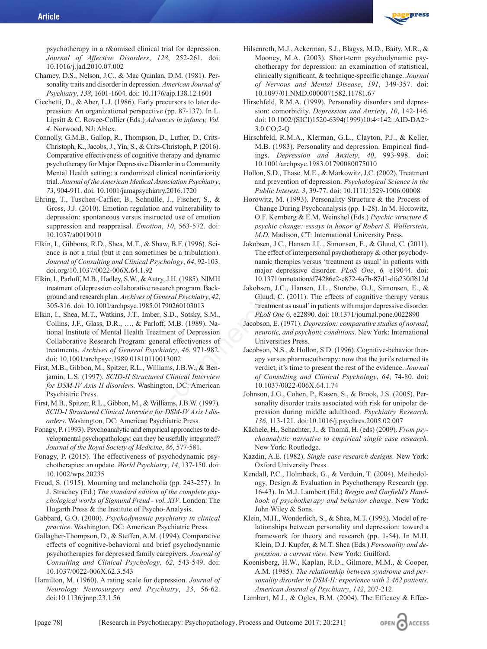

psychotherapy in a r&omised clinical trial for depression. *Journal of Affective Disorders*, *128*, 252-261. doi: 10.1016/j.jad.2010.07.002

- Charney, D.S., Nelson, J.C., & Mac Quinlan, D.M. (1981). Personality traits and disorder in depression. *American Journal of Psychiatry*, *138*, 1601-1604. doi: 10.1176/ajp.138.12.1601
- Cicchetti, D., & Aber, L.J. (1986). Early precursors to later depression: An organizational perspective (pp. 87-137). In L. Lipsitt & C. Rovee-Collier (Eds.) *Advances in infancy, Vol. 4*. Norwood, NJ: Ablex.
- Connolly, G.M.B., Gallop, R., Thompson, D., Luther, D., Crits-Christoph, K., Jacobs, J., Yin, S., & Crits-Christoph, P. (2016). Comparative effectiveness of cognitive therapy and dynamic psychotherapy for Major Depressive Disorder in a Community Mental Health setting: a randomized clinical noninferiority trial. *Journal of the American Medical Association Psychiatry*, *73*, 904-911. doi: 10.1001/jamapsychiatry.2016.1720
- Ehring, T., Tuschen-Caffier, B., Schnülle, J., Fischer, S., & Gross, J.J. (2010). Emotion regulation and vulnerability to depression: spontaneous versus instructed use of emotion suppression and reappraisal. *Emotion*, *10*, 563-572. doi: 10.1037/a0019010
- Elkin, I., Gibbons, R.D., Shea, M.T., & Shaw, B.F. (1996). Science is not a trial (but it can sometimes be a tribulation). *Journal of Consulting and Clinical Psychology*, *64*, 92-103. doi.org/10.1037/0022-006X.64.1.92
- Elkin, I., Parloff, M.B., Hadley, S.W., & Autry, J.H. (1985). NIMH treatment of depression collaborative research program. Background and research plan. *Archives of General Psychiatry*, *42*, 305-316. doi: 10.1001/archpsyc.1985.01790260103013
- Elkin, I., Shea, M.T., Watkins, J.T., Imber, S.D., Sotsky, S.M., Collins, J.F., Glass, D.R., …, & Parloff, M.B. (1989). National Institute of Mental Health Treatment of Depression Collaborative Research Program: general effectiveness of treatments. *Archives of General Psychiatry*, *46*, 971-982. doi: 10.1001/archpsyc.1989.01810110013002
- First, M.B., Gibbon, M., Spitzer, R.L., Williams, J.B.W., & Benjamin, L.S. (1997). *SCID-II Structured Clinical Interview for DSM-IV Axis II disorders.* Washington, DC: American Psychiatric Press.
- First, M.B., Spitzer, R.L., Gibbon, M., & Williams, J.B.W. (1997). *SCID-I Structured Clinical Interview for DSM-IV Axis I disorders*. Washington, DC: American Psychiatric Press.
- Fonagy, P. (1993). Psychoanalytic and empirical approaches to developmental psychopathology: can they be usefully integrated? *Journal of the Royal Society of Medicine*, *86*, 577-581.
- Fonagy, P. (2015). The effectiveness of psychodynamic psychotherapies: an update. *World Psychiatry*, *14*, 137-150. doi: 10.1002/wps.20235
- Freud, S. (1915). Mourning and melancholia (pp. 243-257). In J. Strachey (Ed.) *The standard edition of the complete psychological works of Sigmund Freud - vol. XIV*. London: The Hogarth Press & the Institute of Psycho-Analysis.
- Gabbard, G.O. (2000). *Psychodynamic psychiatry in clinical practice*. Washington, DC: American Psychiatric Press.
- Gallagher-Thompson, D., & Steffen, A.M. (1994). Comparative effects of cognitive-behavioral and brief psychodynamic psychotherapies for depressed family caregivers. *Journal of Consulting and Clinical Psychology*, *62*, 543-549. doi: 10.1037/0022-006X.62.3.543
- Hamilton, M. (1960). A rating scale for depression. *Journal of Neurology Neurosurgery and Psychiatry*, *23*, 56-62. doi:10.1136/jnnp.23.1.56
- Hilsenroth, M.J., Ackerman, S.J., Blagys, M.D., Baity, M.R., & Mooney, M.A. (2003). Short-term psychodynamic psychotherapy for depression: an examination of statistical, clinically significant, & technique-specific change. *Journal of Nervous and Mental Disease*, *191*, 349-357. doi: 10.1097/01.NMD.0000071582.11781.67
- Hirschfeld, R.M.A. (1999). Personality disorders and depression: comorbidity. *Depression and Anxiety*, *10*, 142-146. doi: 10.1002/(SICI)1520-6394(1999)10:4<142::AID-DA2> 3.0.CO;2-Q
- Hirschfeld, R.M.A., Klerman, G.L., Clayton, P.J., & Keller, M.B. (1983). Personality and depression. Empirical findings. *Depression and Anxiety*, *40*, 993-998. doi: 10.1001/archpsyc.1983.01790080075010
- Hollon, S.D., Thase, M.E., & Markowitz, J.C. (2002). Treatment and prevention of depression. *Psychological Science in the Public Interest*, *3*, 39-77. doi: 10.1111/1529-1006.00008
- Horowitz, M. (1993). Personality Structure & the Process of Change During Psychoanalysis (pp. 1-28). In M. Horowitz, O.F. Kernberg & E.M. Weinshel (Eds.) *Psychic structure & psychic change: essays in honor of Robert S. Wallerstein, M.D.* Madison, CT: International University Press.
- Jakobsen, J.C., Hansen J.L., Simonsen, E., & Gluud, C. (2011). The effect of interpersonal psychotherapy & other psychodynamic therapies versus 'treatment as usual' in patients with major depressive disorder. *PLoS One*, *6,* e19044. doi: 10.1371/annotation/d74286e2-e872-4a7b-87d1-dfa230ff612d
- Jakobsen, J.C., Hansen, J.L., Storebø, O.J., Simonsen, E., & Gluud, C. (2011). The effects of cognitive therapy versus 'treatment as usual' in patients with major depressive disorder. *PLoS One* 6, e22890. doi: 10.1371/journal.pone.0022890
- Jacobson, E. (1971). *Depression: comparative studies of normal, neurotic, and psychotic conditions.* New York: International Universities Press.
- Jacobson, N.S., & Hollon, S.D. (1996). Cognitive-behavior therapy versus pharmacotherapy: now that the juri's returned its verdict, it's time to present the rest of the evidence. *Journal of Consulting and Clinical Psychology*, *64*, 74-80. doi: 10.1037/0022-006X.64.1.74 EVALUATION 1001301<br>
STEVEN INCREDUCT USE THE SEARCHEST AND MINOL THE SEARCHEST AND MINOL METURE SEARCHEST AND MINOL MATURE (EASS<br>
M.T., & Shaw, B.F. (1996). Sci-<br>
M.T., & Shaw, B.F. (1996). Sci-<br>
M.T., & Shaw, B.F. (1996)
	- Johnson, J.G., Cohen, P., Kasen, S., & Brook, J.S. (2005). Personality disorder traits associated with risk for unipolar depression during middle adulthood. *Psychiatry Research*, *136*, 113-121. doi:10.1016/j.psychres.2005.02.007
	- Kächele, H., Schachter, J., & Thomä, H. (eds) (2009). *From psychoanalytic narrative to empirical single case research.* New York: Routledge.
	- Kazdin, A.E. (1982). *Single case research designs.* New York: Oxford University Press.
	- Kendall, P.C., Holmbeck, G., & Verduin, T. (2004). Methodology, Design & Evaluation in Psychotherapy Research (pp. 16-43). In M.J. Lambert (Ed.) *Bergin and Garfield's Handbook of psychotherapy and behavior change*. New York: John Wiley & Sons.
	- Klein, M.H., Wonderlich, S., & Shea, M.T. (1993). Model of relationships between personality and depression: toward a framework for theory and research (pp. 1-54). In M.H. Klein, D.J. Kupfer, & M.T. Shea (Eds.) *Personality and depression: a current view*. New York: Guilford.
	- Koenisberg, H.W., Kaplan, R.D., Gilmore, M.M., & Cooper, A.M. (1985). *The relationship between syndrome and personality disorder in DSM-II: experience with 2.462 patients*. *American Journal of Psychiatry*, *142*, 207-212.

OPEN CACCESS

Lambert, M.J., & Ogles, B.M. (2004). The Efficacy & Effec-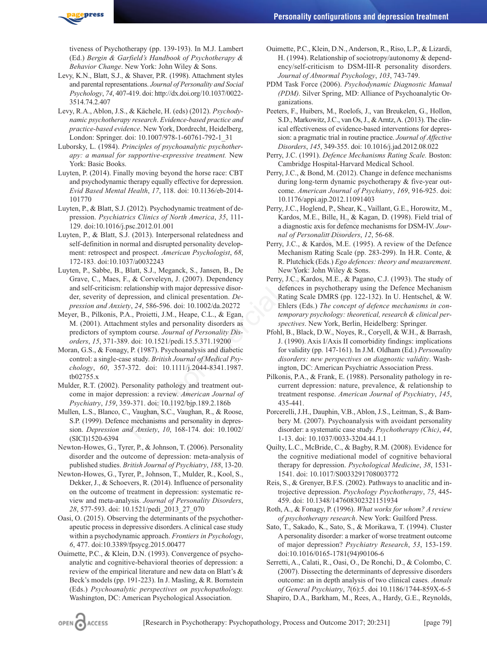

**Personality configurations and depression treatment**

tiveness of Psychotherapy (pp. 139-193). In M.J. Lambert (Ed.) *Bergin & Garfield's Handbook of Psychotherapy & Behavior Change*. New York: John Wiley & Sons.

- Levy, K.N., Blatt, S.J., & Shaver, P.R. (1998). Attachment styles and parental representations. *Journal of Personality and Social Psychology*, *74*, 407-419. doi: http://dx.doi.org/10.1037/0022- 3514.74.2.407
- Levy, R.A., Ablon, J.S., & Kächele, H. (eds) (2012). *Psychodynamic psychotherapy research*. *Evidence-based practice and practice-based evidence*. New York, Dordrecht, Heidelberg, London: Springer. doi: 10.1007/978-1-60761-792-1\_31
- Luborsky, L. (1984). *Principles of psychoanalytic psychotherapy: a manual for supportive-expressive treatment.* New York: Basic Books.
- Luyten, P. (2014). Finally moving beyond the horse race: CBT and psychodynamic therapy equally effective for depression. *Evid Based Mental Health*, *17*, 118. doi: 10.1136/eb-2014- 101770
- Luyten, P., & Blatt, S.J. (2012). Psychodynamic treatment of depression. *Psychiatrics Clinics of North America*, *35*, 111- 129. doi:10.1016/j.psc.2012.01.001
- Luyten, P., & Blatt, S.J. (2013). Interpersonal relatedness and self-definition in normal and disrupted personality development: retrospect and prospect. *American Psychologist*, *68*, 172-183. doi:10.1037/a0032243
- Luyten, P., Sabbe, B., Blatt, S.J., Meganck, S., Jansen, B., De Grave, C., Maes, F., & Corveleyn, J. (2007). Dependency and self-criticism: relationship with major depressive disorder, severity of depression, and clinical presentation. *Depression and Anxiety*, *24*, 586-596. doi: 10.1002/da.20272
- Meyer, B., Pilkonis, P.A., Proietti, J.M., Heape, C.L., & Egan, M. (2001). Attachment styles and personality disorders as predictors of symptom course. *Journal of Personality Disorders*, *15*, 371-389. doi: 10.1521/pedi.15.5.371.19200
- Moran, G.S., & Fonagy, P. (1987). Psychoanalysis and diabetic control: a single-case study. *British Journal of Medical Psychology*, *60*, 357-372. doi: 10.1111/j.2044-8341.1987. tb02755.x
- Mulder, R.T. (2002). Personality pathology and treatment outcome in major depression: a review. *American Journal of Psychiatry*, *159*, 359-371. doi: 10.1192/bjp.189.2.186b
- Mullen, L.S., Blanco, C., Vaughan, S.C., Vaughan, R., & Roose, S.P. (1999). Defence mechanisms and personality in depression. *Depression and Anxiety*, *10*, 168-174. doi: 10.1002/ (SICI)1520-6394
- Newton-Howes, G., Tyrer, P., & Johnson, T. (2006). Personality disorder and the outcome of depression: meta-analysis of published studies. *British Journal of Psychiatry*, *188*, 13-20.
- Newton-Howes, G., Tyrer, P., Johnson, T., Mulder, R., Kool, S., Dekker, J., & Schoevers, R. (2014). Influence of personality on the outcome of treatment in depression: systematic review and meta-analysis. *Journal of Personality Disorders*, *28*, 577-593. doi: 10.1521/pedi\_2013\_27\_070
- Oasi, O. (2015). Observing the determinants of the psychotherapeutic process in depressive disorders. A clinical case study within a psychodynamic approach. *Frontiers in Psychology*, *6*, 477. doi:10.3389/fpsycg.2015.00477
- Ouimette, P.C., & Klein, D.N. (1993). Convergence of psychoanalytic and cognitive-behavioral theories of depression: a review of the empirical literature and new data on Blatt's & Beck's models (pp. 191-223). In J. Masling, & R. Bornstein (Eds.) *Psychoanalytic perspectives on psychopathology.* Washington, DC: American Psychological Association.
- Ouimette, P.C., Klein, D.N., Anderson, R., Riso, L.P., & Lizardi, H. (1994). Relationship of sociotropy/autonomy & dependency/self-criticism to DSM-III-R personality disorders. *Journal of Abnormal Psychology*, *103*, 743-749.
- PDM Task Force (2006). *Psychodynamic Diagnostic Manual (PDM).* Silver Spring, MD: Alliance of Psychoanalytic Organizations.
- Peeters, F., Huibers, M., Roelofs, J., van Breukelen, G., Hollon, S.D., Markowitz, J.C., van Os, J., & Arntz, A. (2013). The clinical effectiveness of evidence-based interventions for depression: a pragmatic trial in routine practice. *Journal of Affective Disorders*, *145*, 349-355. doi: 10.1016/j.jad.2012.08.022
- Perry, J.C. (1991). *Defence Mechanisms Rating Scale.* Boston: Cambridge Hospital-Harvard Medical School.
- Perry, J.C., & Bond, M. (2012). Change in defence mechanisms during long-term dynamic psychotherapy & five-year outcome. *American Journal of Psychiatry*, *169*, 916-925. doi: 10.1176/appi.ajp.2012.11091403
- Perry, J.C., Hoglend, P., Shear, K., Vaillant, G.E., Horowitz, M., Kardos, M.E., Bille, H., & Kagan, D. (1998). Field trial of a diagnostic axis for defence mechanisms for DSM-IV. *Journal of Personalitt Disorders*, *12*, 56-68.
- Perry, J.C., & Kardos, M.E. (1995). A review of the Defence Mechanism Rating Scale (pp. 283-299). In H.R. Conte, & R. Plutchick (Eds.) *Ego defences: theory and measurement*. New York: John Wiley & Sons.
- Perry, J.C., Kardos, M.E., & Pagano, C.J. (1993). The study of defences in psychotherapy using the Defence Mechanism Rating Scale DMRS (pp. 122-132). In U. Hentschel, & W. Ehlers (Eds.) *The concept of defence mechanisms in contemporary psychology: theoretical, research & clinical perspectives*. New York, Berlin, Heidelberg: Springer. Coll 101 112 (1901). The state of North America, 35, 111 - Kardos, M.E., Bille, H., & K<br>
162 (112013). Interpresonal relatedness and<br>
162 adiagnostic axis for definee narmal and filter personal relatedness and<br>
17/a003224
	- Pfohl, B., Black, D.W., Noyes, R., Coryell, & W.H., & Barrash, J. (1990). Axis I/Axis II comorbidity findings: implications for validity (pp. 147-161). In J.M. Oldham (Ed.) *Personality disorders: new perspectives on diagnostic validity*. Washington, DC: American Psychiatric Association Press.
	- Pilkonis, P.A., & Frank, E. (1988). Personality pathology in recurrent depression: nature, prevalence, & relationship to treatment response. *American Journal of Psychiatry*, *145*, 435-441.
	- Porcerelli, J.H., Dauphin, V.B., Ablon, J.S., Leitman, S., & Bambery M. (2007). Psychoanalysis with avoidant personality disorder: a systematic case study. *Psychotherapy (Chic)*, *44*, 1-13. doi: 10.1037/0033-3204.44.1.1
	- Quilty, L.C., McBride, C., & Bagby, R.M. (2008). Evidence for the cognitive mediational model of cognitive behavioral therapy for depression. *Psychological Medicine*, *38*, 1531- 1541. doi: 10.1017/S0033291708003772
	- Reis, S., & Grenyer, B.F.S. (2002). Pathways to anaclitic and introjective depression. *Psychology Psychotherapy*, *75*, 445- 459. doi: 10.1348/147608302321151934
	- Roth, A., & Fonagy, P. (1996). *What works for whom? A review of psychotherapy research*. New York: Guilford Press.
	- Sato, T., Sakado, K., Sato, S., & Morikawa, T. (1994). Cluster A personality disorder: a marker of worse treatment outcome of major depression? *Psychiatry Research*, *53*, 153-159. doi:10.1016/0165-1781(94)90106-6
	- Serretti, A., Calati, R., Oasi, O., De Ronchi, D., & Colombo, C. (2007). Dissecting the determinants of depressive disorders outcome: an in depth analysis of two clinical cases. *Annals of General Psychiatry*, *7*(6):5. doi 10.1186/1744-859X-6-5 Shapiro, D.A., Barkham, M., Rees, A., Hardy, G.E., Reynolds,